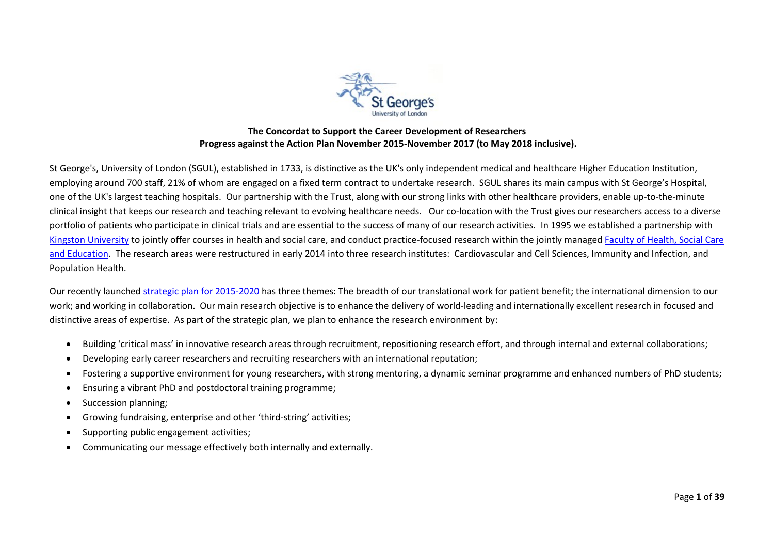

## **The Concordat to Support the Career Development of Researchers Progress against the Action Plan November 2015-November 2017 (to May 2018 inclusive).**

St George's, University of London (SGUL), established in 1733, is distinctive as the UK's only independent medical and healthcare Higher Education Institution, employing around 700 staff, 21% of whom are engaged on a fixed term contract to undertake research. SGUL shares its main campus with St George's Hospital, one of the UK's largest teaching hospitals. Our partnership with the Trust, along with our strong links with other healthcare providers, enable up-to-the-minute clinical insight that keeps our research and teaching relevant to evolving healthcare needs. Our co-location with the Trust gives our researchers access to a diverse portfolio of patients who participate in clinical trials and are essential to the success of many of our research activities. In 1995 we established a partnership with [Kingston University](http://www.kingston.ac.uk/) to jointly offer courses in health and social care, and conduct practice-focused research within the jointly manage[d Faculty of Health, Social Care](http://www.healthcare.ac.uk/)  [and Education.](http://www.healthcare.ac.uk/) The research areas were restructured in early 2014 into three research institutes: Cardiovascular and Cell Sciences, Immunity and Infection, and Population Health.

Our recently launched [strategic plan for 2015-2020](http://www.sgul.ac.uk/images/StrategicPlan2015_2020.pdf) has three themes: The breadth of our translational work for patient benefit; the international dimension to our work; and working in collaboration. Our main research objective is to enhance the delivery of world-leading and internationally excellent research in focused and distinctive areas of expertise. As part of the strategic plan, we plan to enhance the research environment by:

- Building 'critical mass' in innovative research areas through recruitment, repositioning research effort, and through internal and external collaborations;
- Developing early career researchers and recruiting researchers with an international reputation;
- Fostering a supportive environment for young researchers, with strong mentoring, a dynamic seminar programme and enhanced numbers of PhD students;
- Ensuring a vibrant PhD and postdoctoral training programme;
- Succession planning;
- Growing fundraising, enterprise and other 'third-string' activities;
- Supporting public engagement activities;
- Communicating our message effectively both internally and externally.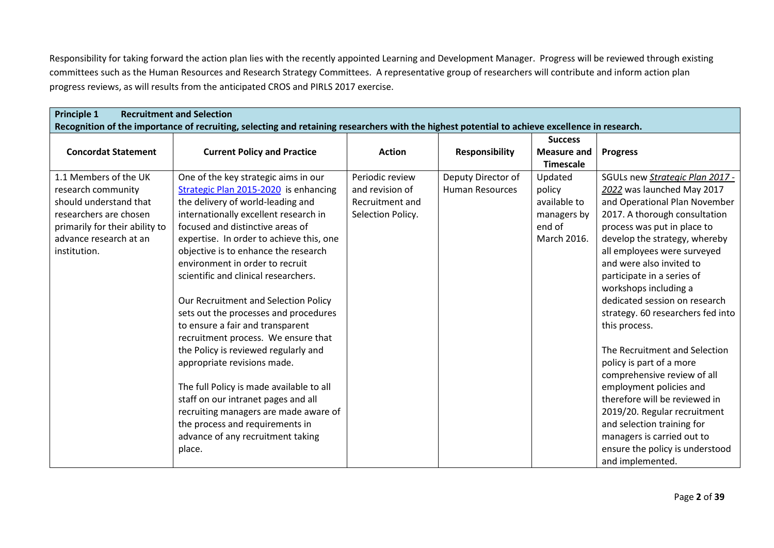Responsibility for taking forward the action plan lies with the recently appointed Learning and Development Manager. Progress will be reviewed through existing committees such as the Human Resources and Research Strategy Committees. A representative group of researchers will contribute and inform action plan progress reviews, as will results from the anticipated CROS and PIRLS 2017 exercise.

| <b>Principle 1</b><br><b>Recruitment and Selection</b> |                                                                                                                                                |                   |                        |                    |                                   |  |
|--------------------------------------------------------|------------------------------------------------------------------------------------------------------------------------------------------------|-------------------|------------------------|--------------------|-----------------------------------|--|
|                                                        | Recognition of the importance of recruiting, selecting and retaining researchers with the highest potential to achieve excellence in research. |                   |                        |                    |                                   |  |
|                                                        |                                                                                                                                                |                   |                        | <b>Success</b>     |                                   |  |
| <b>Concordat Statement</b>                             | <b>Current Policy and Practice</b>                                                                                                             | <b>Action</b>     | <b>Responsibility</b>  | <b>Measure and</b> | <b>Progress</b>                   |  |
|                                                        |                                                                                                                                                |                   |                        | <b>Timescale</b>   |                                   |  |
| 1.1 Members of the UK                                  | One of the key strategic aims in our                                                                                                           | Periodic review   | Deputy Director of     | Updated            | SGULs new Strategic Plan 2017 -   |  |
| research community                                     | Strategic Plan 2015-2020 is enhancing                                                                                                          | and revision of   | <b>Human Resources</b> | policy             | 2022 was launched May 2017        |  |
| should understand that                                 | the delivery of world-leading and                                                                                                              | Recruitment and   |                        | available to       | and Operational Plan November     |  |
| researchers are chosen                                 | internationally excellent research in                                                                                                          | Selection Policy. |                        | managers by        | 2017. A thorough consultation     |  |
| primarily for their ability to                         | focused and distinctive areas of                                                                                                               |                   |                        | end of             | process was put in place to       |  |
| advance research at an                                 | expertise. In order to achieve this, one                                                                                                       |                   |                        | March 2016.        | develop the strategy, whereby     |  |
| institution.                                           | objective is to enhance the research                                                                                                           |                   |                        |                    | all employees were surveyed       |  |
|                                                        | environment in order to recruit                                                                                                                |                   |                        |                    | and were also invited to          |  |
|                                                        | scientific and clinical researchers.                                                                                                           |                   |                        |                    | participate in a series of        |  |
|                                                        |                                                                                                                                                |                   |                        |                    | workshops including a             |  |
|                                                        | Our Recruitment and Selection Policy                                                                                                           |                   |                        |                    | dedicated session on research     |  |
|                                                        | sets out the processes and procedures                                                                                                          |                   |                        |                    | strategy. 60 researchers fed into |  |
|                                                        | to ensure a fair and transparent                                                                                                               |                   |                        |                    | this process.                     |  |
|                                                        | recruitment process. We ensure that                                                                                                            |                   |                        |                    |                                   |  |
|                                                        | the Policy is reviewed regularly and                                                                                                           |                   |                        |                    | The Recruitment and Selection     |  |
|                                                        | appropriate revisions made.                                                                                                                    |                   |                        |                    | policy is part of a more          |  |
|                                                        |                                                                                                                                                |                   |                        |                    | comprehensive review of all       |  |
|                                                        | The full Policy is made available to all                                                                                                       |                   |                        |                    | employment policies and           |  |
|                                                        | staff on our intranet pages and all                                                                                                            |                   |                        |                    | therefore will be reviewed in     |  |
|                                                        | recruiting managers are made aware of                                                                                                          |                   |                        |                    | 2019/20. Regular recruitment      |  |
|                                                        | the process and requirements in                                                                                                                |                   |                        |                    | and selection training for        |  |
|                                                        | advance of any recruitment taking                                                                                                              |                   |                        |                    | managers is carried out to        |  |
|                                                        | place.                                                                                                                                         |                   |                        |                    | ensure the policy is understood   |  |
|                                                        |                                                                                                                                                |                   |                        |                    | and implemented.                  |  |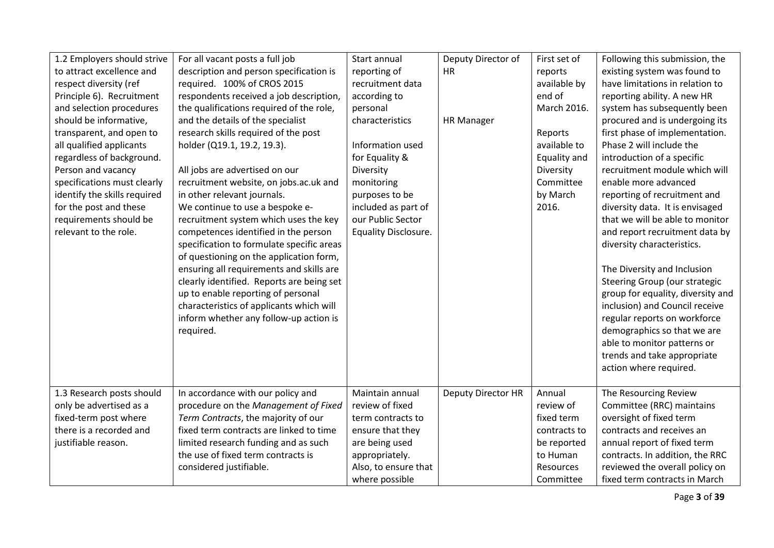| 1.2 Employers should strive  | For all vacant posts a full job           | Start annual                | Deputy Director of | First set of | Following this submission, the    |
|------------------------------|-------------------------------------------|-----------------------------|--------------------|--------------|-----------------------------------|
| to attract excellence and    | description and person specification is   | reporting of                | HR                 | reports      | existing system was found to      |
| respect diversity (ref       | required. 100% of CROS 2015               | recruitment data            |                    | available by | have limitations in relation to   |
| Principle 6). Recruitment    | respondents received a job description,   | according to                |                    | end of       | reporting ability. A new HR       |
| and selection procedures     | the qualifications required of the role,  | personal                    |                    | March 2016.  | system has subsequently been      |
| should be informative,       | and the details of the specialist         | characteristics             | <b>HR Manager</b>  |              | procured and is undergoing its    |
| transparent, and open to     | research skills required of the post      |                             |                    | Reports      | first phase of implementation.    |
| all qualified applicants     | holder (Q19.1, 19.2, 19.3).               | Information used            |                    | available to | Phase 2 will include the          |
| regardless of background.    |                                           | for Equality &              |                    | Equality and | introduction of a specific        |
| Person and vacancy           | All jobs are advertised on our            | Diversity                   |                    | Diversity    | recruitment module which will     |
| specifications must clearly  | recruitment website, on jobs.ac.uk and    | monitoring                  |                    | Committee    | enable more advanced              |
| identify the skills required | in other relevant journals.               | purposes to be              |                    | by March     | reporting of recruitment and      |
| for the post and these       | We continue to use a bespoke e-           | included as part of         |                    | 2016.        | diversity data. It is envisaged   |
| requirements should be       | recruitment system which uses the key     | our Public Sector           |                    |              | that we will be able to monitor   |
| relevant to the role.        | competences identified in the person      | <b>Equality Disclosure.</b> |                    |              | and report recruitment data by    |
|                              | specification to formulate specific areas |                             |                    |              | diversity characteristics.        |
|                              | of questioning on the application form,   |                             |                    |              |                                   |
|                              | ensuring all requirements and skills are  |                             |                    |              | The Diversity and Inclusion       |
|                              | clearly identified. Reports are being set |                             |                    |              | Steering Group (our strategic     |
|                              | up to enable reporting of personal        |                             |                    |              | group for equality, diversity and |
|                              | characteristics of applicants which will  |                             |                    |              | inclusion) and Council receive    |
|                              | inform whether any follow-up action is    |                             |                    |              | regular reports on workforce      |
|                              | required.                                 |                             |                    |              | demographics so that we are       |
|                              |                                           |                             |                    |              | able to monitor patterns or       |
|                              |                                           |                             |                    |              | trends and take appropriate       |
|                              |                                           |                             |                    |              | action where required.            |
|                              |                                           |                             |                    |              |                                   |
| 1.3 Research posts should    | In accordance with our policy and         | Maintain annual             | Deputy Director HR | Annual       | The Resourcing Review             |
| only be advertised as a      | procedure on the Management of Fixed      | review of fixed             |                    | review of    | Committee (RRC) maintains         |
| fixed-term post where        | Term Contracts, the majority of our       | term contracts to           |                    | fixed term   | oversight of fixed term           |
| there is a recorded and      | fixed term contracts are linked to time   | ensure that they            |                    | contracts to | contracts and receives an         |
| justifiable reason.          | limited research funding and as such      | are being used              |                    | be reported  | annual report of fixed term       |
|                              | the use of fixed term contracts is        | appropriately.              |                    | to Human     | contracts. In addition, the RRC   |
|                              | considered justifiable.                   | Also, to ensure that        |                    | Resources    | reviewed the overall policy on    |
|                              |                                           | where possible              |                    | Committee    | fixed term contracts in March     |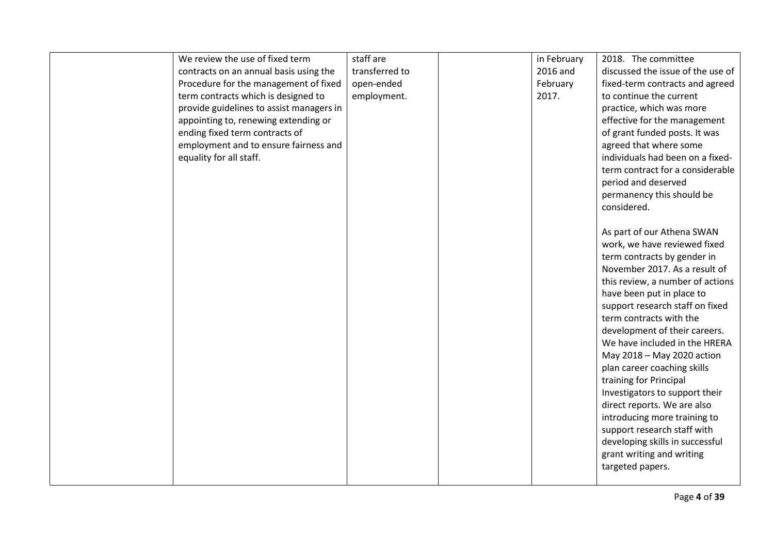| We review the use of fixed term          | staff are      | in February | 2018. The committee               |
|------------------------------------------|----------------|-------------|-----------------------------------|
| contracts on an annual basis using the   | transferred to | 2016 and    | discussed the issue of the use of |
| Procedure for the management of fixed    | open-ended     | February    | fixed-term contracts and agreed   |
| term contracts which is designed to      | employment.    | 2017.       | to continue the current           |
| provide guidelines to assist managers in |                |             | practice, which was more          |
| appointing to, renewing extending or     |                |             | effective for the management      |
| ending fixed term contracts of           |                |             | of grant funded posts. It was     |
| employment and to ensure fairness and    |                |             | agreed that where some            |
| equality for all staff.                  |                |             | individuals had been on a fixed-  |
|                                          |                |             | term contract for a considerable  |
|                                          |                |             | period and deserved               |
|                                          |                |             | permanency this should be         |
|                                          |                |             | considered.                       |
|                                          |                |             |                                   |
|                                          |                |             | As part of our Athena SWAN        |
|                                          |                |             | work, we have reviewed fixed      |
|                                          |                |             | term contracts by gender in       |
|                                          |                |             | November 2017. As a result of     |
|                                          |                |             | this review, a number of actions  |
|                                          |                |             | have been put in place to         |
|                                          |                |             | support research staff on fixed   |
|                                          |                |             | term contracts with the           |
|                                          |                |             | development of their careers.     |
|                                          |                |             | We have included in the HRERA     |
|                                          |                |             | May 2018 - May 2020 action        |
|                                          |                |             | plan career coaching skills       |
|                                          |                |             | training for Principal            |
|                                          |                |             | Investigators to support their    |
|                                          |                |             | direct reports. We are also       |
|                                          |                |             | introducing more training to      |
|                                          |                |             | support research staff with       |
|                                          |                |             | developing skills in successful   |
|                                          |                |             | grant writing and writing         |
|                                          |                |             | targeted papers.                  |
|                                          |                |             |                                   |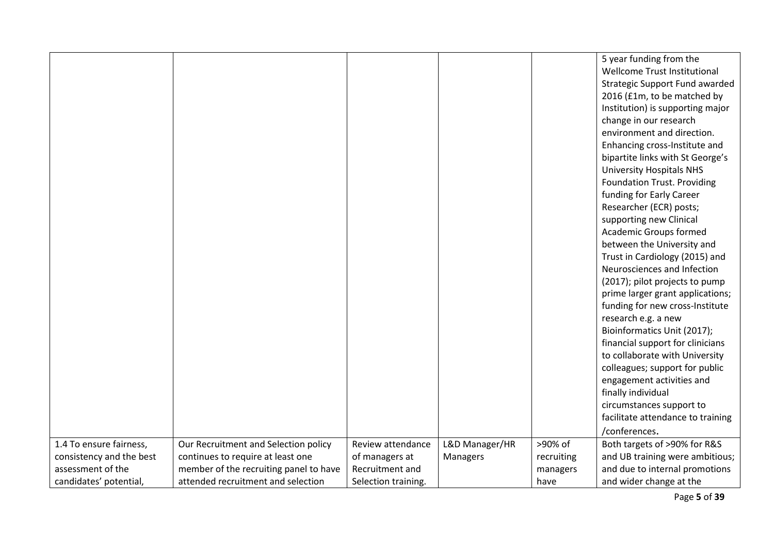|                          |                                        |                     |                |            | 5 year funding from the            |
|--------------------------|----------------------------------------|---------------------|----------------|------------|------------------------------------|
|                          |                                        |                     |                |            | Wellcome Trust Institutional       |
|                          |                                        |                     |                |            | Strategic Support Fund awarded     |
|                          |                                        |                     |                |            | 2016 (£1m, to be matched by        |
|                          |                                        |                     |                |            | Institution) is supporting major   |
|                          |                                        |                     |                |            | change in our research             |
|                          |                                        |                     |                |            | environment and direction.         |
|                          |                                        |                     |                |            | Enhancing cross-Institute and      |
|                          |                                        |                     |                |            | bipartite links with St George's   |
|                          |                                        |                     |                |            | <b>University Hospitals NHS</b>    |
|                          |                                        |                     |                |            | <b>Foundation Trust. Providing</b> |
|                          |                                        |                     |                |            | funding for Early Career           |
|                          |                                        |                     |                |            | Researcher (ECR) posts;            |
|                          |                                        |                     |                |            | supporting new Clinical            |
|                          |                                        |                     |                |            | <b>Academic Groups formed</b>      |
|                          |                                        |                     |                |            | between the University and         |
|                          |                                        |                     |                |            | Trust in Cardiology (2015) and     |
|                          |                                        |                     |                |            | Neurosciences and Infection        |
|                          |                                        |                     |                |            | (2017); pilot projects to pump     |
|                          |                                        |                     |                |            | prime larger grant applications;   |
|                          |                                        |                     |                |            | funding for new cross-Institute    |
|                          |                                        |                     |                |            | research e.g. a new                |
|                          |                                        |                     |                |            | Bioinformatics Unit (2017);        |
|                          |                                        |                     |                |            | financial support for clinicians   |
|                          |                                        |                     |                |            | to collaborate with University     |
|                          |                                        |                     |                |            | colleagues; support for public     |
|                          |                                        |                     |                |            | engagement activities and          |
|                          |                                        |                     |                |            | finally individual                 |
|                          |                                        |                     |                |            | circumstances support to           |
|                          |                                        |                     |                |            | facilitate attendance to training  |
|                          |                                        |                     |                |            | /conferences.                      |
| 1.4 To ensure fairness,  | Our Recruitment and Selection policy   | Review attendance   | L&D Manager/HR | >90% of    | Both targets of >90% for R&S       |
| consistency and the best | continues to require at least one      | of managers at      | Managers       | recruiting | and UB training were ambitious;    |
| assessment of the        | member of the recruiting panel to have | Recruitment and     |                | managers   | and due to internal promotions     |
| candidates' potential,   | attended recruitment and selection     | Selection training. |                | have       | and wider change at the            |

Page **5** of **39**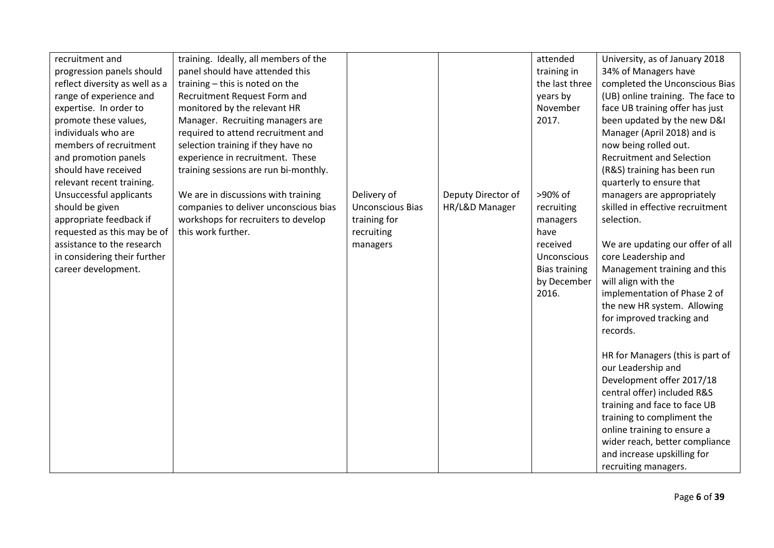| recruitment and                | training. Ideally, all members of the |                         |                    | attended             | University, as of January 2018    |
|--------------------------------|---------------------------------------|-------------------------|--------------------|----------------------|-----------------------------------|
| progression panels should      | panel should have attended this       |                         |                    | training in          | 34% of Managers have              |
| reflect diversity as well as a | training - this is noted on the       |                         |                    | the last three       | completed the Unconscious Bias    |
| range of experience and        | Recruitment Request Form and          |                         |                    | years by             | (UB) online training. The face to |
| expertise. In order to         | monitored by the relevant HR          |                         |                    | November             | face UB training offer has just   |
| promote these values,          | Manager. Recruiting managers are      |                         |                    | 2017.                | been updated by the new D&I       |
| individuals who are            | required to attend recruitment and    |                         |                    |                      | Manager (April 2018) and is       |
| members of recruitment         | selection training if they have no    |                         |                    |                      | now being rolled out.             |
| and promotion panels           | experience in recruitment. These      |                         |                    |                      | <b>Recruitment and Selection</b>  |
| should have received           | training sessions are run bi-monthly. |                         |                    |                      | (R&S) training has been run       |
| relevant recent training.      |                                       |                         |                    |                      | quarterly to ensure that          |
| Unsuccessful applicants        | We are in discussions with training   | Delivery of             | Deputy Director of | >90% of              | managers are appropriately        |
| should be given                | companies to deliver unconscious bias | <b>Unconscious Bias</b> | HR/L&D Manager     | recruiting           | skilled in effective recruitment  |
| appropriate feedback if        | workshops for recruiters to develop   | training for            |                    | managers             | selection.                        |
| requested as this may be of    | this work further.                    | recruiting              |                    | have                 |                                   |
| assistance to the research     |                                       | managers                |                    | received             | We are updating our offer of all  |
| in considering their further   |                                       |                         |                    | Unconscious          | core Leadership and               |
| career development.            |                                       |                         |                    | <b>Bias training</b> | Management training and this      |
|                                |                                       |                         |                    | by December          | will align with the               |
|                                |                                       |                         |                    | 2016.                | implementation of Phase 2 of      |
|                                |                                       |                         |                    |                      | the new HR system. Allowing       |
|                                |                                       |                         |                    |                      | for improved tracking and         |
|                                |                                       |                         |                    |                      | records.                          |
|                                |                                       |                         |                    |                      |                                   |
|                                |                                       |                         |                    |                      | HR for Managers (this is part of  |
|                                |                                       |                         |                    |                      | our Leadership and                |
|                                |                                       |                         |                    |                      | Development offer 2017/18         |
|                                |                                       |                         |                    |                      | central offer) included R&S       |
|                                |                                       |                         |                    |                      | training and face to face UB      |
|                                |                                       |                         |                    |                      | training to compliment the        |
|                                |                                       |                         |                    |                      | online training to ensure a       |
|                                |                                       |                         |                    |                      | wider reach, better compliance    |
|                                |                                       |                         |                    |                      | and increase upskilling for       |
|                                |                                       |                         |                    |                      | recruiting managers.              |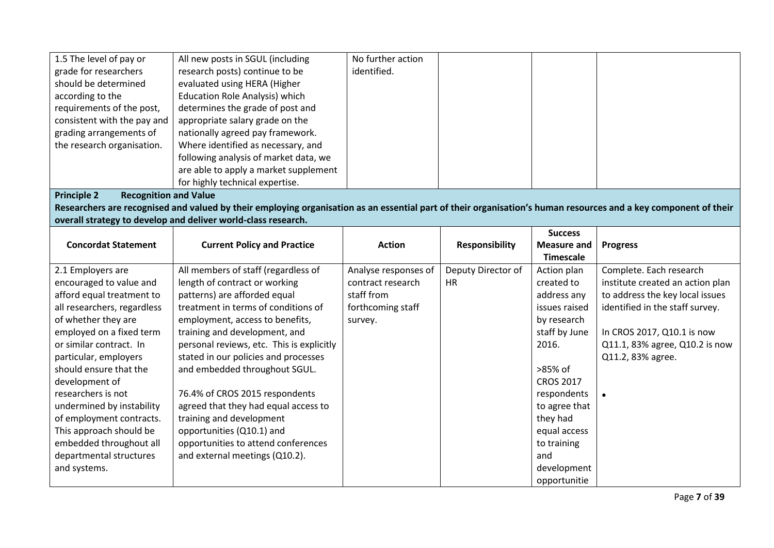| 1.5 The level of pay or                            | All new posts in SGUL (including                                                                                                                                | No further action    |                       |                    |                                  |
|----------------------------------------------------|-----------------------------------------------------------------------------------------------------------------------------------------------------------------|----------------------|-----------------------|--------------------|----------------------------------|
| grade for researchers                              | research posts) continue to be                                                                                                                                  | identified.          |                       |                    |                                  |
| should be determined                               | evaluated using HERA (Higher                                                                                                                                    |                      |                       |                    |                                  |
| according to the                                   | <b>Education Role Analysis) which</b>                                                                                                                           |                      |                       |                    |                                  |
| requirements of the post,                          | determines the grade of post and                                                                                                                                |                      |                       |                    |                                  |
| consistent with the pay and                        | appropriate salary grade on the                                                                                                                                 |                      |                       |                    |                                  |
| grading arrangements of                            | nationally agreed pay framework.                                                                                                                                |                      |                       |                    |                                  |
| the research organisation.                         | Where identified as necessary, and                                                                                                                              |                      |                       |                    |                                  |
|                                                    | following analysis of market data, we                                                                                                                           |                      |                       |                    |                                  |
|                                                    | are able to apply a market supplement                                                                                                                           |                      |                       |                    |                                  |
|                                                    | for highly technical expertise.                                                                                                                                 |                      |                       |                    |                                  |
| <b>Recognition and Value</b><br><b>Principle 2</b> |                                                                                                                                                                 |                      |                       |                    |                                  |
|                                                    | Researchers are recognised and valued by their employing organisation as an essential part of their organisation's human resources and a key component of their |                      |                       |                    |                                  |
|                                                    | overall strategy to develop and deliver world-class research.                                                                                                   |                      |                       |                    |                                  |
|                                                    |                                                                                                                                                                 |                      |                       | <b>Success</b>     |                                  |
| <b>Concordat Statement</b>                         | <b>Current Policy and Practice</b>                                                                                                                              | <b>Action</b>        | <b>Responsibility</b> | <b>Measure and</b> | <b>Progress</b>                  |
|                                                    |                                                                                                                                                                 |                      |                       | <b>Timescale</b>   |                                  |
| 2.1 Employers are                                  | All members of staff (regardless of                                                                                                                             | Analyse responses of | Deputy Director of    | Action plan        | Complete. Each research          |
| encouraged to value and                            | length of contract or working                                                                                                                                   | contract research    | <b>HR</b>             | created to         | institute created an action plan |
| afford equal treatment to                          | patterns) are afforded equal                                                                                                                                    | staff from           |                       | address any        | to address the key local issues  |
| all researchers, regardless                        | treatment in terms of conditions of                                                                                                                             | forthcoming staff    |                       | issues raised      | identified in the staff survey.  |
| of whether they are                                | employment, access to benefits,                                                                                                                                 | survey.              |                       | by research        |                                  |
| employed on a fixed term                           | training and development, and                                                                                                                                   |                      |                       | staff by June      | In CROS 2017, Q10.1 is now       |
| or similar contract. In                            | personal reviews, etc. This is explicitly                                                                                                                       |                      |                       | 2016.              | Q11.1, 83% agree, Q10.2 is now   |
| particular, employers                              | stated in our policies and processes                                                                                                                            |                      |                       |                    | Q11.2, 83% agree.                |
| should ensure that the                             | and embedded throughout SGUL.                                                                                                                                   |                      |                       | >85% of            |                                  |
| development of                                     |                                                                                                                                                                 |                      |                       | <b>CROS 2017</b>   |                                  |
| researchers is not                                 | 76.4% of CROS 2015 respondents                                                                                                                                  |                      |                       | respondents        |                                  |
| undermined by instability                          | agreed that they had equal access to                                                                                                                            |                      |                       | to agree that      |                                  |
| of employment contracts.                           | training and development                                                                                                                                        |                      |                       | they had           |                                  |
| This approach should be                            | opportunities (Q10.1) and                                                                                                                                       |                      |                       | equal access       |                                  |
| embedded throughout all                            | opportunities to attend conferences                                                                                                                             |                      |                       | to training        |                                  |
| departmental structures                            | and external meetings (Q10.2).                                                                                                                                  |                      |                       | and                |                                  |
| and systems.                                       |                                                                                                                                                                 |                      |                       | development        |                                  |
|                                                    |                                                                                                                                                                 |                      |                       | opportunitie       |                                  |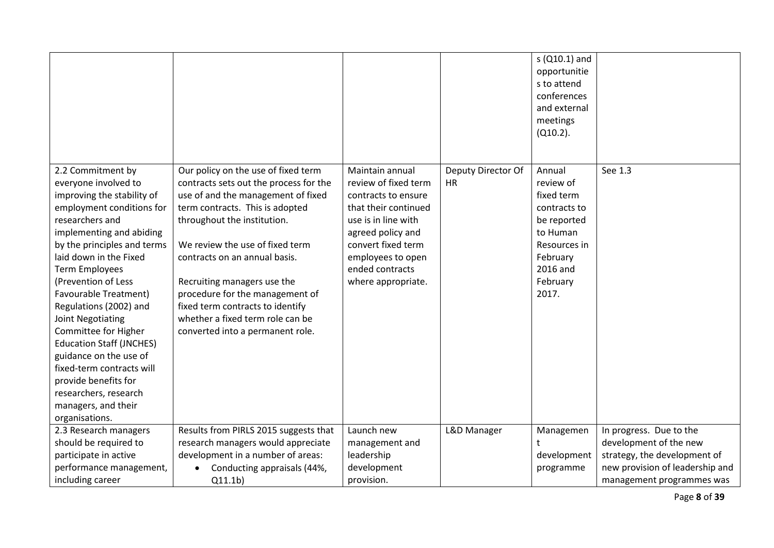|                                                                                                                                                                                                                                                                                                                                                                                                                                                                                                                                                  |                                                                                                                                                                                                                                                                                                                                                                                                                                         |                                                                                                                                                                                                                        |                                 | s (Q10.1) and<br>opportunitie<br>s to attend<br>conferences<br>and external<br>meetings<br>$(Q10.2)$ .                                    |                                 |
|--------------------------------------------------------------------------------------------------------------------------------------------------------------------------------------------------------------------------------------------------------------------------------------------------------------------------------------------------------------------------------------------------------------------------------------------------------------------------------------------------------------------------------------------------|-----------------------------------------------------------------------------------------------------------------------------------------------------------------------------------------------------------------------------------------------------------------------------------------------------------------------------------------------------------------------------------------------------------------------------------------|------------------------------------------------------------------------------------------------------------------------------------------------------------------------------------------------------------------------|---------------------------------|-------------------------------------------------------------------------------------------------------------------------------------------|---------------------------------|
| 2.2 Commitment by<br>everyone involved to<br>improving the stability of<br>employment conditions for<br>researchers and<br>implementing and abiding<br>by the principles and terms<br>laid down in the Fixed<br><b>Term Employees</b><br>(Prevention of Less<br>Favourable Treatment)<br>Regulations (2002) and<br>Joint Negotiating<br>Committee for Higher<br><b>Education Staff (JNCHES)</b><br>guidance on the use of<br>fixed-term contracts will<br>provide benefits for<br>researchers, research<br>managers, and their<br>organisations. | Our policy on the use of fixed term<br>contracts sets out the process for the<br>use of and the management of fixed<br>term contracts. This is adopted<br>throughout the institution.<br>We review the use of fixed term<br>contracts on an annual basis.<br>Recruiting managers use the<br>procedure for the management of<br>fixed term contracts to identify<br>whether a fixed term role can be<br>converted into a permanent role. | Maintain annual<br>review of fixed term<br>contracts to ensure<br>that their continued<br>use is in line with<br>agreed policy and<br>convert fixed term<br>employees to open<br>ended contracts<br>where appropriate. | Deputy Director Of<br><b>HR</b> | Annual<br>review of<br>fixed term<br>contracts to<br>be reported<br>to Human<br>Resources in<br>February<br>2016 and<br>February<br>2017. | See 1.3                         |
| 2.3 Research managers                                                                                                                                                                                                                                                                                                                                                                                                                                                                                                                            | Results from PIRLS 2015 suggests that                                                                                                                                                                                                                                                                                                                                                                                                   | Launch new                                                                                                                                                                                                             | L&D Manager                     | Managemen                                                                                                                                 | In progress. Due to the         |
| should be required to                                                                                                                                                                                                                                                                                                                                                                                                                                                                                                                            | research managers would appreciate                                                                                                                                                                                                                                                                                                                                                                                                      | management and                                                                                                                                                                                                         |                                 |                                                                                                                                           | development of the new          |
| participate in active                                                                                                                                                                                                                                                                                                                                                                                                                                                                                                                            | development in a number of areas:                                                                                                                                                                                                                                                                                                                                                                                                       | leadership                                                                                                                                                                                                             |                                 | development                                                                                                                               | strategy, the development of    |
| performance management,                                                                                                                                                                                                                                                                                                                                                                                                                                                                                                                          | Conducting appraisals (44%,<br>$\bullet$                                                                                                                                                                                                                                                                                                                                                                                                | development                                                                                                                                                                                                            |                                 | programme                                                                                                                                 | new provision of leadership and |
| including career                                                                                                                                                                                                                                                                                                                                                                                                                                                                                                                                 | Q11.1b)                                                                                                                                                                                                                                                                                                                                                                                                                                 | provision.                                                                                                                                                                                                             |                                 |                                                                                                                                           | management programmes was       |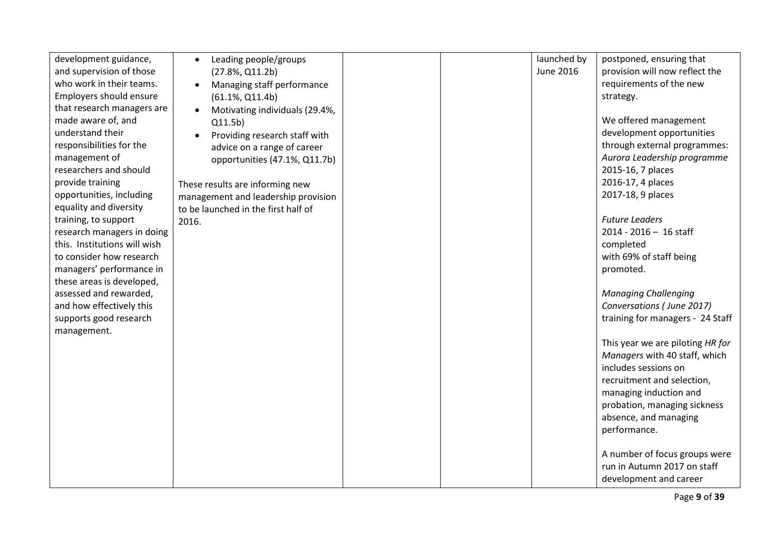| development guidance,        | Leading people/groups               |  | launched by      | postponed, ensuring that         |
|------------------------------|-------------------------------------|--|------------------|----------------------------------|
| and supervision of those     | $(27.8\%, Q11.2b)$                  |  | <b>June 2016</b> | provision will now reflect the   |
| who work in their teams.     | Managing staff performance          |  |                  | requirements of the new          |
| Employers should ensure      | $(61.1\%, Q11.4b)$                  |  |                  | strategy.                        |
| that research managers are   | Motivating individuals (29.4%,      |  |                  |                                  |
| made aware of, and           | Q11.5b)                             |  |                  | We offered management            |
| understand their             | Providing research staff with       |  |                  | development opportunities        |
| responsibilities for the     | advice on a range of career         |  |                  | through external programmes:     |
| management of                | opportunities (47.1%, Q11.7b)       |  |                  | Aurora Leadership programme      |
| researchers and should       |                                     |  |                  | 2015-16, 7 places                |
| provide training             | These results are informing new     |  |                  | 2016-17, 4 places                |
| opportunities, including     | management and leadership provision |  |                  | 2017-18, 9 places                |
| equality and diversity       | to be launched in the first half of |  |                  |                                  |
| training, to support         | 2016.                               |  |                  | <b>Future Leaders</b>            |
| research managers in doing   |                                     |  |                  | $2014 - 2016 - 16$ staff         |
| this. Institutions will wish |                                     |  |                  | completed                        |
| to consider how research     |                                     |  |                  | with 69% of staff being          |
| managers' performance in     |                                     |  |                  | promoted.                        |
| these areas is developed,    |                                     |  |                  |                                  |
| assessed and rewarded,       |                                     |  |                  | <b>Managing Challenging</b>      |
| and how effectively this     |                                     |  |                  | Conversations (June 2017)        |
| supports good research       |                                     |  |                  | training for managers - 24 Staff |
| management.                  |                                     |  |                  | This year we are piloting HR for |
|                              |                                     |  |                  | Managers with 40 staff, which    |
|                              |                                     |  |                  | includes sessions on             |
|                              |                                     |  |                  | recruitment and selection,       |
|                              |                                     |  |                  | managing induction and           |
|                              |                                     |  |                  | probation, managing sickness     |
|                              |                                     |  |                  | absence, and managing            |
|                              |                                     |  |                  | performance.                     |
|                              |                                     |  |                  |                                  |
|                              |                                     |  |                  | A number of focus groups were    |
|                              |                                     |  |                  | run in Autumn 2017 on staff      |
|                              |                                     |  |                  | development and career           |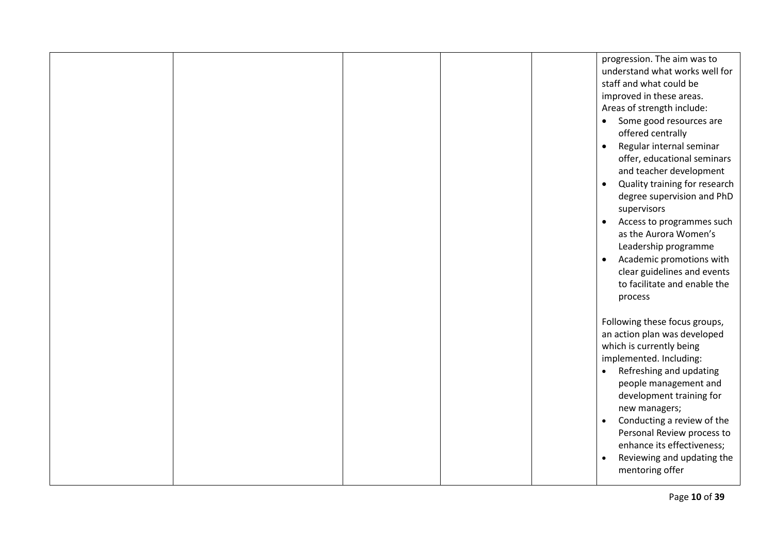|  |  | progression. The aim was to<br>understand what works well for<br>staff and what could be<br>improved in these areas.<br>Areas of strength include:<br>Some good resources are<br>$\bullet$<br>offered centrally<br>Regular internal seminar<br>$\bullet$ |
|--|--|----------------------------------------------------------------------------------------------------------------------------------------------------------------------------------------------------------------------------------------------------------|
|  |  | offer, educational seminars<br>and teacher development<br>Quality training for research<br>$\bullet$<br>degree supervision and PhD<br>supervisors                                                                                                        |
|  |  | Access to programmes such<br>$\bullet$<br>as the Aurora Women's<br>Leadership programme<br>Academic promotions with<br>$\bullet$                                                                                                                         |
|  |  | clear guidelines and events<br>to facilitate and enable the<br>process                                                                                                                                                                                   |
|  |  | Following these focus groups,<br>an action plan was developed<br>which is currently being<br>implemented. Including:<br>Refreshing and updating<br>$\bullet$                                                                                             |
|  |  | people management and<br>development training for<br>new managers;<br>Conducting a review of the<br>$\bullet$<br>Personal Review process to                                                                                                              |
|  |  | enhance its effectiveness;<br>Reviewing and updating the<br>$\bullet$<br>mentoring offer                                                                                                                                                                 |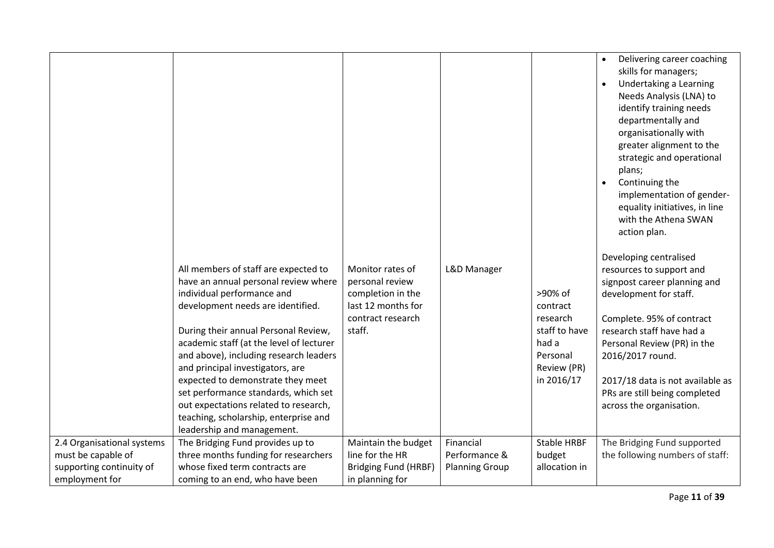|                            | All members of staff are expected to<br>have an annual personal review where<br>individual performance and<br>development needs are identified.<br>During their annual Personal Review,<br>academic staff (at the level of lecturer<br>and above), including research leaders<br>and principal investigators, are<br>expected to demonstrate they meet<br>set performance standards, which set<br>out expectations related to research,<br>teaching, scholarship, enterprise and | Monitor rates of<br>personal review<br>completion in the<br>last 12 months for<br>contract research<br>staff. | L&D Manager           | >90% of<br>contract<br>research<br>staff to have<br>had a<br>Personal<br>Review (PR)<br>in 2016/17 | Delivering career coaching<br>skills for managers;<br>Undertaking a Learning<br>$\bullet$<br>Needs Analysis (LNA) to<br>identify training needs<br>departmentally and<br>organisationally with<br>greater alignment to the<br>strategic and operational<br>plans;<br>Continuing the<br>implementation of gender-<br>equality initiatives, in line<br>with the Athena SWAN<br>action plan.<br>Developing centralised<br>resources to support and<br>signpost career planning and<br>development for staff.<br>Complete. 95% of contract<br>research staff have had a<br>Personal Review (PR) in the<br>2016/2017 round.<br>2017/18 data is not available as<br>PRs are still being completed<br>across the organisation. |
|----------------------------|----------------------------------------------------------------------------------------------------------------------------------------------------------------------------------------------------------------------------------------------------------------------------------------------------------------------------------------------------------------------------------------------------------------------------------------------------------------------------------|---------------------------------------------------------------------------------------------------------------|-----------------------|----------------------------------------------------------------------------------------------------|-------------------------------------------------------------------------------------------------------------------------------------------------------------------------------------------------------------------------------------------------------------------------------------------------------------------------------------------------------------------------------------------------------------------------------------------------------------------------------------------------------------------------------------------------------------------------------------------------------------------------------------------------------------------------------------------------------------------------|
|                            | leadership and management.                                                                                                                                                                                                                                                                                                                                                                                                                                                       |                                                                                                               |                       |                                                                                                    |                                                                                                                                                                                                                                                                                                                                                                                                                                                                                                                                                                                                                                                                                                                         |
| 2.4 Organisational systems | The Bridging Fund provides up to                                                                                                                                                                                                                                                                                                                                                                                                                                                 | Maintain the budget                                                                                           | Financial             | <b>Stable HRBF</b>                                                                                 | The Bridging Fund supported                                                                                                                                                                                                                                                                                                                                                                                                                                                                                                                                                                                                                                                                                             |
| must be capable of         | three months funding for researchers                                                                                                                                                                                                                                                                                                                                                                                                                                             | line for the HR                                                                                               | Performance &         | budget                                                                                             | the following numbers of staff:                                                                                                                                                                                                                                                                                                                                                                                                                                                                                                                                                                                                                                                                                         |
| supporting continuity of   | whose fixed term contracts are                                                                                                                                                                                                                                                                                                                                                                                                                                                   | <b>Bridging Fund (HRBF)</b>                                                                                   | <b>Planning Group</b> | allocation in                                                                                      |                                                                                                                                                                                                                                                                                                                                                                                                                                                                                                                                                                                                                                                                                                                         |
| employment for             | coming to an end, who have been                                                                                                                                                                                                                                                                                                                                                                                                                                                  | in planning for                                                                                               |                       |                                                                                                    |                                                                                                                                                                                                                                                                                                                                                                                                                                                                                                                                                                                                                                                                                                                         |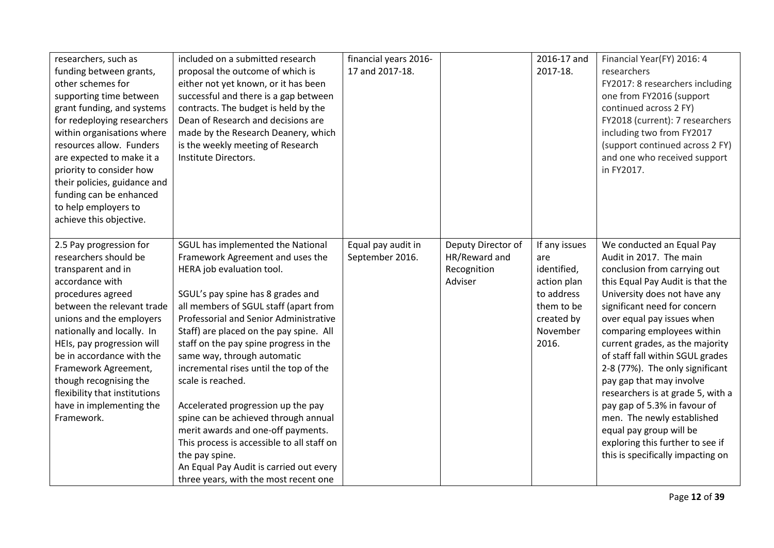| researchers, such as<br>funding between grants,<br>other schemes for<br>supporting time between<br>grant funding, and systems<br>for redeploying researchers<br>within organisations where<br>resources allow. Funders<br>are expected to make it a<br>priority to consider how<br>their policies, guidance and<br>funding can be enhanced<br>to help employers to                                                        | included on a submitted research<br>proposal the outcome of which is<br>either not yet known, or it has been<br>successful and there is a gap between<br>contracts. The budget is held by the<br>Dean of Research and decisions are<br>made by the Research Deanery, which<br>is the weekly meeting of Research<br>Institute Directors.                                                                                                                                                                                                                                                                                                                                               | financial years 2016-<br>17 and 2017-18. |                                                               | 2016-17 and<br>2017-18.                                                                                           | Financial Year(FY) 2016: 4<br>researchers<br>FY2017: 8 researchers including<br>one from FY2016 (support<br>continued across 2 FY)<br>FY2018 (current): 7 researchers<br>including two from FY2017<br>(support continued across 2 FY)<br>and one who received support<br>in FY2017.                                                                                                                                                                                                                                                                                                               |
|---------------------------------------------------------------------------------------------------------------------------------------------------------------------------------------------------------------------------------------------------------------------------------------------------------------------------------------------------------------------------------------------------------------------------|---------------------------------------------------------------------------------------------------------------------------------------------------------------------------------------------------------------------------------------------------------------------------------------------------------------------------------------------------------------------------------------------------------------------------------------------------------------------------------------------------------------------------------------------------------------------------------------------------------------------------------------------------------------------------------------|------------------------------------------|---------------------------------------------------------------|-------------------------------------------------------------------------------------------------------------------|---------------------------------------------------------------------------------------------------------------------------------------------------------------------------------------------------------------------------------------------------------------------------------------------------------------------------------------------------------------------------------------------------------------------------------------------------------------------------------------------------------------------------------------------------------------------------------------------------|
| achieve this objective.<br>2.5 Pay progression for<br>researchers should be<br>transparent and in<br>accordance with<br>procedures agreed<br>between the relevant trade<br>unions and the employers<br>nationally and locally. In<br>HEIs, pay progression will<br>be in accordance with the<br>Framework Agreement,<br>though recognising the<br>flexibility that institutions<br>have in implementing the<br>Framework. | SGUL has implemented the National<br>Framework Agreement and uses the<br>HERA job evaluation tool.<br>SGUL's pay spine has 8 grades and<br>all members of SGUL staff (apart from<br>Professorial and Senior Administrative<br>Staff) are placed on the pay spine. All<br>staff on the pay spine progress in the<br>same way, through automatic<br>incremental rises until the top of the<br>scale is reached.<br>Accelerated progression up the pay<br>spine can be achieved through annual<br>merit awards and one-off payments.<br>This process is accessible to all staff on<br>the pay spine.<br>An Equal Pay Audit is carried out every<br>three years, with the most recent one | Equal pay audit in<br>September 2016.    | Deputy Director of<br>HR/Reward and<br>Recognition<br>Adviser | If any issues<br>are<br>identified,<br>action plan<br>to address<br>them to be<br>created by<br>November<br>2016. | We conducted an Equal Pay<br>Audit in 2017. The main<br>conclusion from carrying out<br>this Equal Pay Audit is that the<br>University does not have any<br>significant need for concern<br>over equal pay issues when<br>comparing employees within<br>current grades, as the majority<br>of staff fall within SGUL grades<br>2-8 (77%). The only significant<br>pay gap that may involve<br>researchers is at grade 5, with a<br>pay gap of 5.3% in favour of<br>men. The newly established<br>equal pay group will be<br>exploring this further to see if<br>this is specifically impacting on |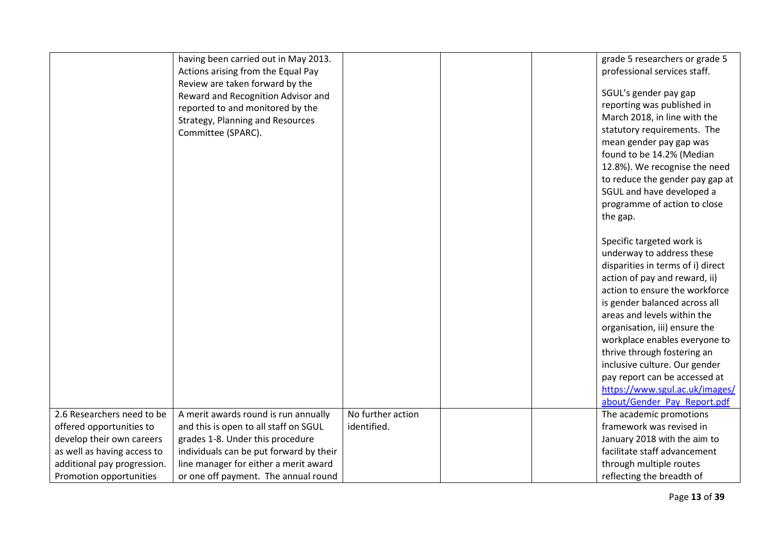|                             | having been carried out in May 2013.<br>Actions arising from the Equal Pay<br>Review are taken forward by the<br>Reward and Recognition Advisor and<br>reported to and monitored by the<br>Strategy, Planning and Resources<br>Committee (SPARC). |                   | grade 5 researchers or grade 5<br>professional services staff.<br>SGUL's gender pay gap<br>reporting was published in<br>March 2018, in line with the<br>statutory requirements. The<br>mean gender pay gap was<br>found to be 14.2% (Median<br>12.8%). We recognise the need<br>to reduce the gender pay gap at<br>SGUL and have developed a<br>programme of action to close<br>the gap.<br>Specific targeted work is<br>underway to address these<br>disparities in terms of i) direct<br>action of pay and reward, ii)<br>action to ensure the workforce<br>is gender balanced across all<br>areas and levels within the<br>organisation, iii) ensure the<br>workplace enables everyone to<br>thrive through fostering an |
|-----------------------------|---------------------------------------------------------------------------------------------------------------------------------------------------------------------------------------------------------------------------------------------------|-------------------|------------------------------------------------------------------------------------------------------------------------------------------------------------------------------------------------------------------------------------------------------------------------------------------------------------------------------------------------------------------------------------------------------------------------------------------------------------------------------------------------------------------------------------------------------------------------------------------------------------------------------------------------------------------------------------------------------------------------------|
|                             |                                                                                                                                                                                                                                                   |                   |                                                                                                                                                                                                                                                                                                                                                                                                                                                                                                                                                                                                                                                                                                                              |
|                             |                                                                                                                                                                                                                                                   |                   | inclusive culture. Our gender<br>pay report can be accessed at<br>https://www.sgul.ac.uk/images/<br>about/Gender Pay Report.pdf                                                                                                                                                                                                                                                                                                                                                                                                                                                                                                                                                                                              |
| 2.6 Researchers need to be  | A merit awards round is run annually                                                                                                                                                                                                              | No further action | The academic promotions                                                                                                                                                                                                                                                                                                                                                                                                                                                                                                                                                                                                                                                                                                      |
| offered opportunities to    | and this is open to all staff on SGUL                                                                                                                                                                                                             | identified.       | framework was revised in                                                                                                                                                                                                                                                                                                                                                                                                                                                                                                                                                                                                                                                                                                     |
| develop their own careers   | grades 1-8. Under this procedure                                                                                                                                                                                                                  |                   | January 2018 with the aim to                                                                                                                                                                                                                                                                                                                                                                                                                                                                                                                                                                                                                                                                                                 |
| as well as having access to | individuals can be put forward by their                                                                                                                                                                                                           |                   | facilitate staff advancement                                                                                                                                                                                                                                                                                                                                                                                                                                                                                                                                                                                                                                                                                                 |
| additional pay progression. | line manager for either a merit award                                                                                                                                                                                                             |                   | through multiple routes                                                                                                                                                                                                                                                                                                                                                                                                                                                                                                                                                                                                                                                                                                      |
| Promotion opportunities     | or one off payment. The annual round                                                                                                                                                                                                              |                   | reflecting the breadth of                                                                                                                                                                                                                                                                                                                                                                                                                                                                                                                                                                                                                                                                                                    |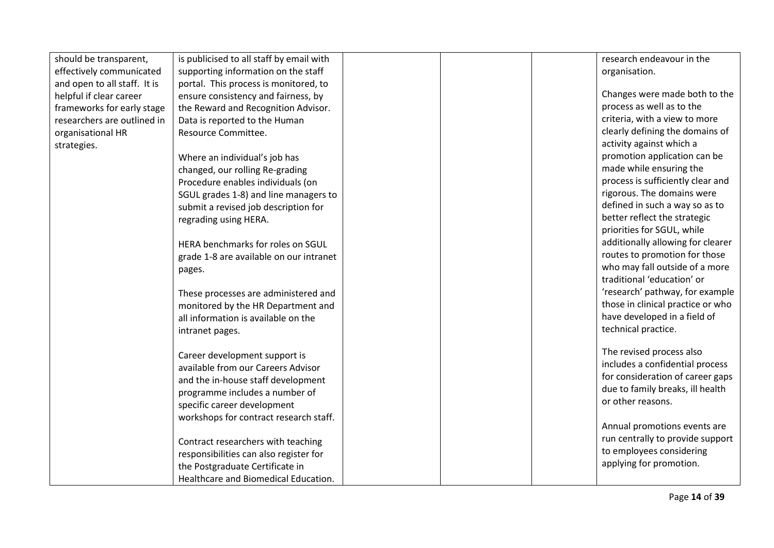| should be transparent,       | is publicised to all staff by email with |  | research endeavour in the         |
|------------------------------|------------------------------------------|--|-----------------------------------|
| effectively communicated     | supporting information on the staff      |  | organisation.                     |
| and open to all staff. It is | portal. This process is monitored, to    |  |                                   |
| helpful if clear career      | ensure consistency and fairness, by      |  | Changes were made both to the     |
| frameworks for early stage   | the Reward and Recognition Advisor.      |  | process as well as to the         |
| researchers are outlined in  | Data is reported to the Human            |  | criteria, with a view to more     |
| organisational HR            | Resource Committee.                      |  | clearly defining the domains of   |
| strategies.                  |                                          |  | activity against which a          |
|                              | Where an individual's job has            |  | promotion application can be      |
|                              | changed, our rolling Re-grading          |  | made while ensuring the           |
|                              | Procedure enables individuals (on        |  | process is sufficiently clear and |
|                              | SGUL grades 1-8) and line managers to    |  | rigorous. The domains were        |
|                              | submit a revised job description for     |  | defined in such a way so as to    |
|                              | regrading using HERA.                    |  | better reflect the strategic      |
|                              |                                          |  | priorities for SGUL, while        |
|                              | HERA benchmarks for roles on SGUL        |  | additionally allowing for clearer |
|                              | grade 1-8 are available on our intranet  |  | routes to promotion for those     |
|                              | pages.                                   |  | who may fall outside of a more    |
|                              |                                          |  | traditional 'education' or        |
|                              | These processes are administered and     |  | 'research' pathway, for example   |
|                              | monitored by the HR Department and       |  | those in clinical practice or who |
|                              | all information is available on the      |  | have developed in a field of      |
|                              | intranet pages.                          |  | technical practice.               |
|                              |                                          |  |                                   |
|                              | Career development support is            |  | The revised process also          |
|                              | available from our Careers Advisor       |  | includes a confidential process   |
|                              | and the in-house staff development       |  | for consideration of career gaps  |
|                              | programme includes a number of           |  | due to family breaks, ill health  |
|                              | specific career development              |  | or other reasons.                 |
|                              | workshops for contract research staff.   |  |                                   |
|                              |                                          |  | Annual promotions events are      |
|                              | Contract researchers with teaching       |  | run centrally to provide support  |
|                              | responsibilities can also register for   |  | to employees considering          |
|                              | the Postgraduate Certificate in          |  | applying for promotion.           |
|                              | Healthcare and Biomedical Education.     |  |                                   |
|                              |                                          |  |                                   |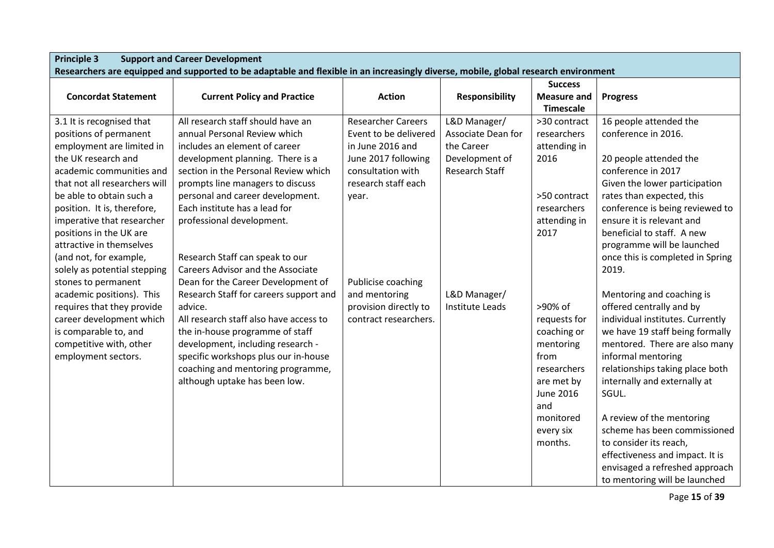| <b>Principle 3</b><br><b>Support and Career Development</b><br>Researchers are equipped and supported to be adaptable and flexible in an increasingly diverse, mobile, global research environment                                                                                                                                                                                                                                                                                                                                                                      |                                                                                                                                                                                                                                                                                                                                                                                                                                                                                                                                                                                                                                                                                                                                |                                                                                                                                                                                                                                             |                                                                                                                         |                                                                                                                                                                                                                                                                 |                                                                                                                                                                                                                                                                                                                                                                                                                                                                                                                                                                                                                                                                                                                                                                                                      |  |  |
|-------------------------------------------------------------------------------------------------------------------------------------------------------------------------------------------------------------------------------------------------------------------------------------------------------------------------------------------------------------------------------------------------------------------------------------------------------------------------------------------------------------------------------------------------------------------------|--------------------------------------------------------------------------------------------------------------------------------------------------------------------------------------------------------------------------------------------------------------------------------------------------------------------------------------------------------------------------------------------------------------------------------------------------------------------------------------------------------------------------------------------------------------------------------------------------------------------------------------------------------------------------------------------------------------------------------|---------------------------------------------------------------------------------------------------------------------------------------------------------------------------------------------------------------------------------------------|-------------------------------------------------------------------------------------------------------------------------|-----------------------------------------------------------------------------------------------------------------------------------------------------------------------------------------------------------------------------------------------------------------|------------------------------------------------------------------------------------------------------------------------------------------------------------------------------------------------------------------------------------------------------------------------------------------------------------------------------------------------------------------------------------------------------------------------------------------------------------------------------------------------------------------------------------------------------------------------------------------------------------------------------------------------------------------------------------------------------------------------------------------------------------------------------------------------------|--|--|
|                                                                                                                                                                                                                                                                                                                                                                                                                                                                                                                                                                         |                                                                                                                                                                                                                                                                                                                                                                                                                                                                                                                                                                                                                                                                                                                                |                                                                                                                                                                                                                                             |                                                                                                                         | <b>Success</b>                                                                                                                                                                                                                                                  |                                                                                                                                                                                                                                                                                                                                                                                                                                                                                                                                                                                                                                                                                                                                                                                                      |  |  |
| <b>Concordat Statement</b>                                                                                                                                                                                                                                                                                                                                                                                                                                                                                                                                              | <b>Current Policy and Practice</b>                                                                                                                                                                                                                                                                                                                                                                                                                                                                                                                                                                                                                                                                                             | <b>Action</b>                                                                                                                                                                                                                               | <b>Responsibility</b>                                                                                                   | <b>Measure and</b><br><b>Timescale</b>                                                                                                                                                                                                                          | <b>Progress</b>                                                                                                                                                                                                                                                                                                                                                                                                                                                                                                                                                                                                                                                                                                                                                                                      |  |  |
| 3.1 It is recognised that<br>positions of permanent<br>employment are limited in<br>the UK research and<br>academic communities and<br>that not all researchers will<br>be able to obtain such a<br>position. It is, therefore,<br>imperative that researcher<br>positions in the UK are<br>attractive in themselves<br>(and not, for example,<br>solely as potential stepping<br>stones to permanent<br>academic positions). This<br>requires that they provide<br>career development which<br>is comparable to, and<br>competitive with, other<br>employment sectors. | All research staff should have an<br>annual Personal Review which<br>includes an element of career<br>development planning. There is a<br>section in the Personal Review which<br>prompts line managers to discuss<br>personal and career development.<br>Each institute has a lead for<br>professional development.<br>Research Staff can speak to our<br><b>Careers Advisor and the Associate</b><br>Dean for the Career Development of<br>Research Staff for careers support and<br>advice.<br>All research staff also have access to<br>the in-house programme of staff<br>development, including research -<br>specific workshops plus our in-house<br>coaching and mentoring programme,<br>although uptake has been low. | <b>Researcher Careers</b><br>Event to be delivered<br>in June 2016 and<br>June 2017 following<br>consultation with<br>research staff each<br>year.<br>Publicise coaching<br>and mentoring<br>provision directly to<br>contract researchers. | L&D Manager/<br>Associate Dean for<br>the Career<br>Development of<br>Research Staff<br>L&D Manager/<br>Institute Leads | >30 contract<br>researchers<br>attending in<br>2016<br>>50 contract<br>researchers<br>attending in<br>2017<br>>90% of<br>requests for<br>coaching or<br>mentoring<br>from<br>researchers<br>are met by<br>June 2016<br>and<br>monitored<br>every six<br>months. | 16 people attended the<br>conference in 2016.<br>20 people attended the<br>conference in 2017<br>Given the lower participation<br>rates than expected, this<br>conference is being reviewed to<br>ensure it is relevant and<br>beneficial to staff. A new<br>programme will be launched<br>once this is completed in Spring<br>2019.<br>Mentoring and coaching is<br>offered centrally and by<br>individual institutes. Currently<br>we have 19 staff being formally<br>mentored. There are also many<br>informal mentoring<br>relationships taking place both<br>internally and externally at<br>SGUL.<br>A review of the mentoring<br>scheme has been commissioned<br>to consider its reach,<br>effectiveness and impact. It is<br>envisaged a refreshed approach<br>to mentoring will be launched |  |  |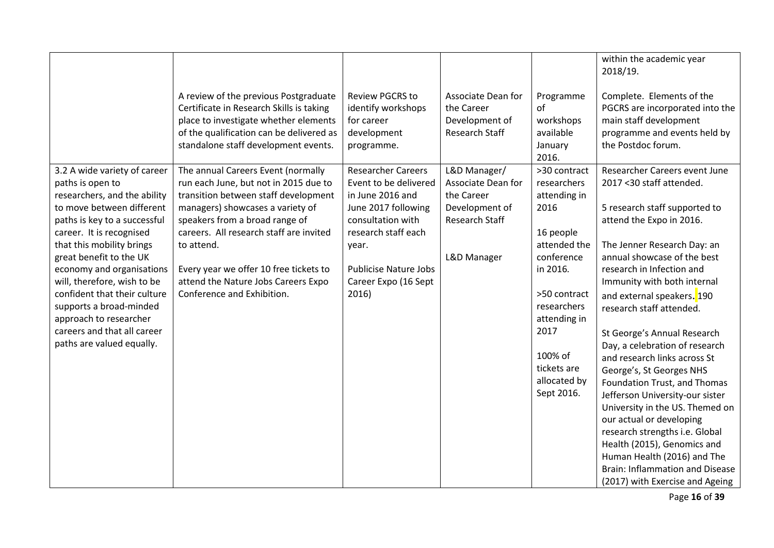|                                                                                                                                                                                                                                                                                                                                                                                                                                                |                                                                                                                                                                                                                                                                                                                                                                   |                                                                                                                                                                                                                     |                                                                                                     |                                                                                                                                                                                                                           | within the academic year<br>2018/19.                                                                                                                                                                                                                                                                                                                                                                                                                                                                                                                                                                                                                                                                                                                        |
|------------------------------------------------------------------------------------------------------------------------------------------------------------------------------------------------------------------------------------------------------------------------------------------------------------------------------------------------------------------------------------------------------------------------------------------------|-------------------------------------------------------------------------------------------------------------------------------------------------------------------------------------------------------------------------------------------------------------------------------------------------------------------------------------------------------------------|---------------------------------------------------------------------------------------------------------------------------------------------------------------------------------------------------------------------|-----------------------------------------------------------------------------------------------------|---------------------------------------------------------------------------------------------------------------------------------------------------------------------------------------------------------------------------|-------------------------------------------------------------------------------------------------------------------------------------------------------------------------------------------------------------------------------------------------------------------------------------------------------------------------------------------------------------------------------------------------------------------------------------------------------------------------------------------------------------------------------------------------------------------------------------------------------------------------------------------------------------------------------------------------------------------------------------------------------------|
|                                                                                                                                                                                                                                                                                                                                                                                                                                                | A review of the previous Postgraduate<br>Certificate in Research Skills is taking<br>place to investigate whether elements<br>of the qualification can be delivered as<br>standalone staff development events.                                                                                                                                                    | <b>Review PGCRS to</b><br>identify workshops<br>for career<br>development<br>programme.                                                                                                                             | Associate Dean for<br>the Career<br>Development of<br><b>Research Staff</b>                         | Programme<br>of<br>workshops<br>available<br>January<br>2016.                                                                                                                                                             | Complete. Elements of the<br>PGCRS are incorporated into the<br>main staff development<br>programme and events held by<br>the Postdoc forum.                                                                                                                                                                                                                                                                                                                                                                                                                                                                                                                                                                                                                |
| 3.2 A wide variety of career<br>paths is open to<br>researchers, and the ability<br>to move between different<br>paths is key to a successful<br>career. It is recognised<br>that this mobility brings<br>great benefit to the UK<br>economy and organisations<br>will, therefore, wish to be<br>confident that their culture<br>supports a broad-minded<br>approach to researcher<br>careers and that all career<br>paths are valued equally. | The annual Careers Event (normally<br>run each June, but not in 2015 due to<br>transition between staff development<br>managers) showcases a variety of<br>speakers from a broad range of<br>careers. All research staff are invited<br>to attend.<br>Every year we offer 10 free tickets to<br>attend the Nature Jobs Careers Expo<br>Conference and Exhibition. | <b>Researcher Careers</b><br>Event to be delivered<br>in June 2016 and<br>June 2017 following<br>consultation with<br>research staff each<br>year.<br><b>Publicise Nature Jobs</b><br>Career Expo (16 Sept<br>2016) | L&D Manager/<br>Associate Dean for<br>the Career<br>Development of<br>Research Staff<br>L&D Manager | >30 contract<br>researchers<br>attending in<br>2016<br>16 people<br>attended the<br>conference<br>in 2016.<br>>50 contract<br>researchers<br>attending in<br>2017<br>100% of<br>tickets are<br>allocated by<br>Sept 2016. | Researcher Careers event June<br>2017 < 30 staff attended.<br>5 research staff supported to<br>attend the Expo in 2016.<br>The Jenner Research Day: an<br>annual showcase of the best<br>research in Infection and<br>Immunity with both internal<br>and external speakers. <sup>190</sup><br>research staff attended.<br>St George's Annual Research<br>Day, a celebration of research<br>and research links across St<br>George's, St Georges NHS<br>Foundation Trust, and Thomas<br>Jefferson University-our sister<br>University in the US. Themed on<br>our actual or developing<br>research strengths i.e. Global<br>Health (2015), Genomics and<br>Human Health (2016) and The<br>Brain: Inflammation and Disease<br>(2017) with Exercise and Ageing |

Page **16** of **39**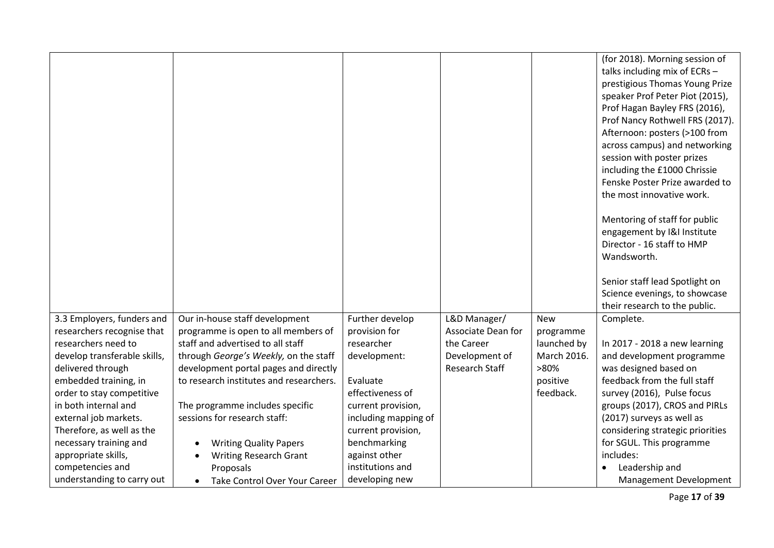|                              |                                            |                      |                       |             | (for 2018). Morning session of   |
|------------------------------|--------------------------------------------|----------------------|-----------------------|-------------|----------------------------------|
|                              |                                            |                      |                       |             | talks including mix of ECRs -    |
|                              |                                            |                      |                       |             |                                  |
|                              |                                            |                      |                       |             | prestigious Thomas Young Prize   |
|                              |                                            |                      |                       |             | speaker Prof Peter Piot (2015),  |
|                              |                                            |                      |                       |             | Prof Hagan Bayley FRS (2016),    |
|                              |                                            |                      |                       |             | Prof Nancy Rothwell FRS (2017).  |
|                              |                                            |                      |                       |             | Afternoon: posters (>100 from    |
|                              |                                            |                      |                       |             | across campus) and networking    |
|                              |                                            |                      |                       |             | session with poster prizes       |
|                              |                                            |                      |                       |             | including the £1000 Chrissie     |
|                              |                                            |                      |                       |             | Fenske Poster Prize awarded to   |
|                              |                                            |                      |                       |             | the most innovative work.        |
|                              |                                            |                      |                       |             |                                  |
|                              |                                            |                      |                       |             | Mentoring of staff for public    |
|                              |                                            |                      |                       |             | engagement by I&I Institute      |
|                              |                                            |                      |                       |             | Director - 16 staff to HMP       |
|                              |                                            |                      |                       |             | Wandsworth.                      |
|                              |                                            |                      |                       |             |                                  |
|                              |                                            |                      |                       |             | Senior staff lead Spotlight on   |
|                              |                                            |                      |                       |             | Science evenings, to showcase    |
|                              |                                            |                      |                       |             | their research to the public.    |
| 3.3 Employers, funders and   | Our in-house staff development             | Further develop      | L&D Manager/          | <b>New</b>  | Complete.                        |
| researchers recognise that   | programme is open to all members of        | provision for        | Associate Dean for    | programme   |                                  |
| researchers need to          | staff and advertised to all staff          | researcher           | the Career            | launched by | In 2017 - 2018 a new learning    |
| develop transferable skills, | through George's Weekly, on the staff      | development:         | Development of        | March 2016. | and development programme        |
| delivered through            | development portal pages and directly      |                      | <b>Research Staff</b> | >80%        | was designed based on            |
| embedded training, in        | to research institutes and researchers.    | Evaluate             |                       | positive    | feedback from the full staff     |
| order to stay competitive    |                                            | effectiveness of     |                       | feedback.   | survey (2016), Pulse focus       |
| in both internal and         | The programme includes specific            | current provision,   |                       |             | groups (2017), CROS and PIRLs    |
| external job markets.        | sessions for research staff:               | including mapping of |                       |             | (2017) surveys as well as        |
| Therefore, as well as the    |                                            | current provision,   |                       |             | considering strategic priorities |
| necessary training and       | <b>Writing Quality Papers</b>              | benchmarking         |                       |             | for SGUL. This programme         |
| appropriate skills,          |                                            | against other        |                       |             | includes:                        |
| competencies and             |                                            |                      |                       |             |                                  |
|                              | <b>Writing Research Grant</b><br>Proposals | institutions and     |                       |             | Leadership and                   |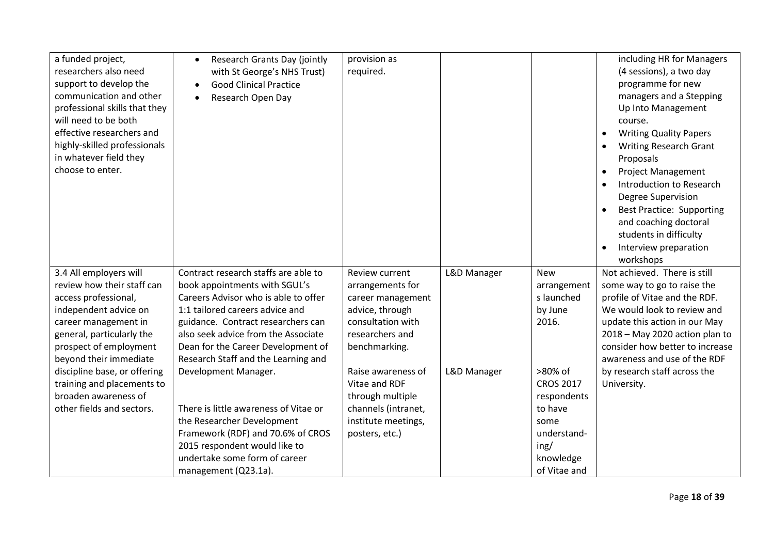| a funded project,<br>researchers also need<br>support to develop the<br>communication and other<br>professional skills that they<br>will need to be both<br>effective researchers and<br>highly-skilled professionals<br>in whatever field they<br>choose to enter. | Research Grants Day (jointly<br>$\bullet$<br>with St George's NHS Trust)<br><b>Good Clinical Practice</b><br>Research Open Day | provision as<br>required.          |             |                           | including HR for Managers<br>(4 sessions), a two day<br>programme for new<br>managers and a Stepping<br>Up Into Management<br>course.<br><b>Writing Quality Papers</b><br><b>Writing Research Grant</b><br>Proposals<br><b>Project Management</b><br>Introduction to Research<br>Degree Supervision<br><b>Best Practice: Supporting</b><br>and coaching doctoral<br>students in difficulty<br>Interview preparation<br>workshops |
|---------------------------------------------------------------------------------------------------------------------------------------------------------------------------------------------------------------------------------------------------------------------|--------------------------------------------------------------------------------------------------------------------------------|------------------------------------|-------------|---------------------------|----------------------------------------------------------------------------------------------------------------------------------------------------------------------------------------------------------------------------------------------------------------------------------------------------------------------------------------------------------------------------------------------------------------------------------|
| 3.4 All employers will<br>review how their staff can                                                                                                                                                                                                                | Contract research staffs are able to<br>book appointments with SGUL's                                                          | Review current<br>arrangements for | L&D Manager | <b>New</b><br>arrangement | Not achieved. There is still<br>some way to go to raise the                                                                                                                                                                                                                                                                                                                                                                      |
| access professional,                                                                                                                                                                                                                                                | Careers Advisor who is able to offer                                                                                           | career management                  |             | s launched                | profile of Vitae and the RDF.                                                                                                                                                                                                                                                                                                                                                                                                    |
| independent advice on                                                                                                                                                                                                                                               | 1:1 tailored careers advice and                                                                                                | advice, through                    |             | by June                   | We would look to review and                                                                                                                                                                                                                                                                                                                                                                                                      |
| career management in                                                                                                                                                                                                                                                | guidance. Contract researchers can                                                                                             | consultation with                  |             | 2016.                     | update this action in our May                                                                                                                                                                                                                                                                                                                                                                                                    |
| general, particularly the                                                                                                                                                                                                                                           | also seek advice from the Associate                                                                                            | researchers and                    |             |                           | 2018 - May 2020 action plan to                                                                                                                                                                                                                                                                                                                                                                                                   |
| prospect of employment                                                                                                                                                                                                                                              | Dean for the Career Development of                                                                                             | benchmarking.                      |             |                           | consider how better to increase                                                                                                                                                                                                                                                                                                                                                                                                  |
| beyond their immediate                                                                                                                                                                                                                                              | Research Staff and the Learning and                                                                                            |                                    |             |                           | awareness and use of the RDF                                                                                                                                                                                                                                                                                                                                                                                                     |
| discipline base, or offering                                                                                                                                                                                                                                        | Development Manager.                                                                                                           | Raise awareness of                 | L&D Manager | >80% of                   | by research staff across the                                                                                                                                                                                                                                                                                                                                                                                                     |
| training and placements to                                                                                                                                                                                                                                          |                                                                                                                                | Vitae and RDF                      |             | <b>CROS 2017</b>          | University.                                                                                                                                                                                                                                                                                                                                                                                                                      |
| broaden awareness of                                                                                                                                                                                                                                                |                                                                                                                                | through multiple                   |             | respondents               |                                                                                                                                                                                                                                                                                                                                                                                                                                  |
| other fields and sectors.                                                                                                                                                                                                                                           | There is little awareness of Vitae or                                                                                          | channels (intranet,                |             | to have                   |                                                                                                                                                                                                                                                                                                                                                                                                                                  |
|                                                                                                                                                                                                                                                                     | the Researcher Development                                                                                                     | institute meetings,                |             | some                      |                                                                                                                                                                                                                                                                                                                                                                                                                                  |
|                                                                                                                                                                                                                                                                     | Framework (RDF) and 70.6% of CROS                                                                                              | posters, etc.)                     |             | understand-               |                                                                                                                                                                                                                                                                                                                                                                                                                                  |
|                                                                                                                                                                                                                                                                     | 2015 respondent would like to                                                                                                  |                                    |             | ing/                      |                                                                                                                                                                                                                                                                                                                                                                                                                                  |
|                                                                                                                                                                                                                                                                     | undertake some form of career                                                                                                  |                                    |             | knowledge                 |                                                                                                                                                                                                                                                                                                                                                                                                                                  |
|                                                                                                                                                                                                                                                                     | management (Q23.1a).                                                                                                           |                                    |             | of Vitae and              |                                                                                                                                                                                                                                                                                                                                                                                                                                  |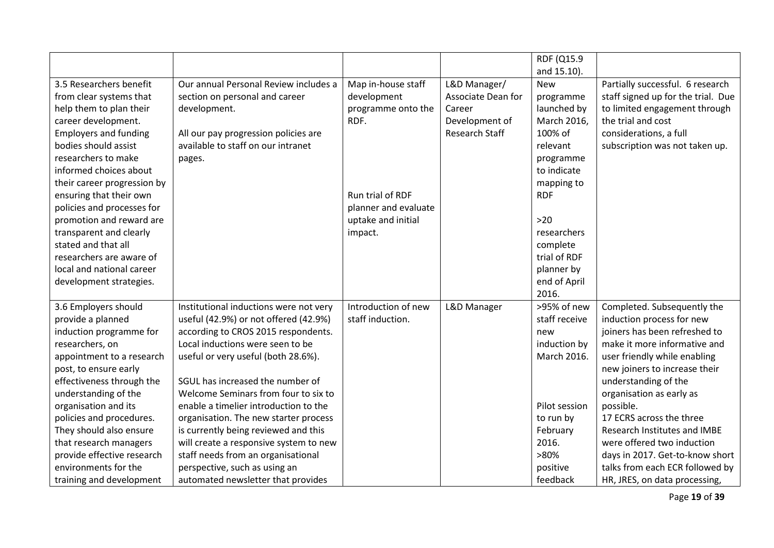|                              |                                        |                      |                       | RDF (Q15.9    |                                    |
|------------------------------|----------------------------------------|----------------------|-----------------------|---------------|------------------------------------|
|                              |                                        |                      |                       |               |                                    |
|                              |                                        |                      |                       | and 15.10).   |                                    |
| 3.5 Researchers benefit      | Our annual Personal Review includes a  | Map in-house staff   | L&D Manager/          | <b>New</b>    | Partially successful. 6 research   |
| from clear systems that      | section on personal and career         | development          | Associate Dean for    | programme     | staff signed up for the trial. Due |
| help them to plan their      | development.                           | programme onto the   | Career                | launched by   | to limited engagement through      |
| career development.          |                                        | RDF.                 | Development of        | March 2016,   | the trial and cost                 |
| <b>Employers and funding</b> | All our pay progression policies are   |                      | <b>Research Staff</b> | 100% of       | considerations, a full             |
| bodies should assist         | available to staff on our intranet     |                      |                       | relevant      | subscription was not taken up.     |
| researchers to make          | pages.                                 |                      |                       | programme     |                                    |
| informed choices about       |                                        |                      |                       | to indicate   |                                    |
| their career progression by  |                                        |                      |                       | mapping to    |                                    |
| ensuring that their own      |                                        | Run trial of RDF     |                       | <b>RDF</b>    |                                    |
| policies and processes for   |                                        | planner and evaluate |                       |               |                                    |
| promotion and reward are     |                                        | uptake and initial   |                       | $>20$         |                                    |
| transparent and clearly      |                                        | impact.              |                       | researchers   |                                    |
| stated and that all          |                                        |                      |                       | complete      |                                    |
| researchers are aware of     |                                        |                      |                       | trial of RDF  |                                    |
| local and national career    |                                        |                      |                       | planner by    |                                    |
| development strategies.      |                                        |                      |                       | end of April  |                                    |
|                              |                                        |                      |                       | 2016.         |                                    |
| 3.6 Employers should         | Institutional inductions were not very | Introduction of new  | L&D Manager           | >95% of new   | Completed. Subsequently the        |
| provide a planned            | useful (42.9%) or not offered (42.9%)  | staff induction.     |                       | staff receive | induction process for new          |
| induction programme for      | according to CROS 2015 respondents.    |                      |                       | new           | joiners has been refreshed to      |
| researchers, on              | Local inductions were seen to be       |                      |                       | induction by  | make it more informative and       |
| appointment to a research    | useful or very useful (both 28.6%).    |                      |                       | March 2016.   | user friendly while enabling       |
| post, to ensure early        |                                        |                      |                       |               | new joiners to increase their      |
| effectiveness through the    | SGUL has increased the number of       |                      |                       |               | understanding of the               |
| understanding of the         | Welcome Seminars from four to six to   |                      |                       |               | organisation as early as           |
| organisation and its         | enable a timelier introduction to the  |                      |                       | Pilot session | possible.                          |
| policies and procedures.     | organisation. The new starter process  |                      |                       | to run by     | 17 ECRS across the three           |
| They should also ensure      | is currently being reviewed and this   |                      |                       | February      | Research Institutes and IMBE       |
| that research managers       | will create a responsive system to new |                      |                       | 2016.         | were offered two induction         |
| provide effective research   | staff needs from an organisational     |                      |                       | >80%          | days in 2017. Get-to-know short    |
| environments for the         | perspective, such as using an          |                      |                       | positive      | talks from each ECR followed by    |
| training and development     | automated newsletter that provides     |                      |                       | feedback      | HR, JRES, on data processing,      |

Page **19** of **39**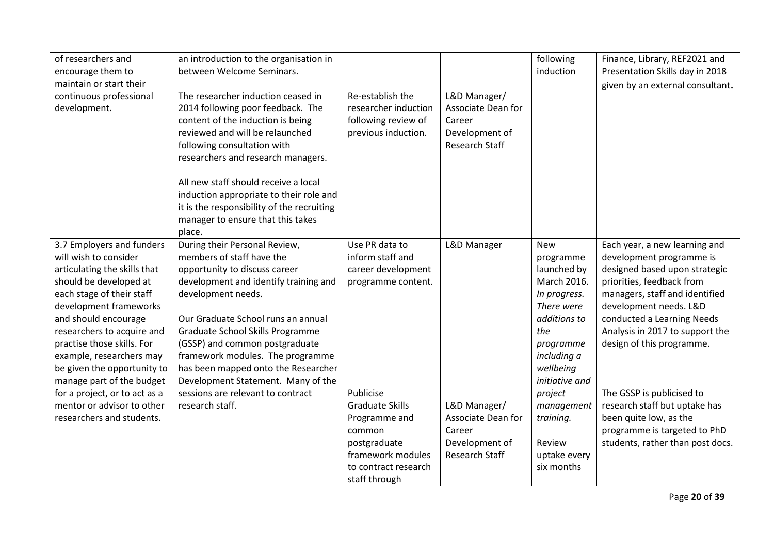| of researchers and<br>encourage them to<br>maintain or start their<br>continuous professional<br>development.                                                                                                                                                                                                                                   | an introduction to the organisation in<br>between Welcome Seminars.<br>The researcher induction ceased in<br>2014 following poor feedback. The<br>content of the induction is being<br>reviewed and will be relaunched<br>following consultation with<br>researchers and research managers.<br>All new staff should receive a local<br>induction appropriate to their role and<br>it is the responsibility of the recruiting<br>manager to ensure that this takes | Re-establish the<br>researcher induction<br>following review of<br>previous induction.                                                       | L&D Manager/<br>Associate Dean for<br>Career<br>Development of<br><b>Research Staff</b> | following<br>induction                                                                                                                                                | Finance, Library, REF2021 and<br>Presentation Skills day in 2018<br>given by an external consultant.                                                                                                                                                                              |
|-------------------------------------------------------------------------------------------------------------------------------------------------------------------------------------------------------------------------------------------------------------------------------------------------------------------------------------------------|-------------------------------------------------------------------------------------------------------------------------------------------------------------------------------------------------------------------------------------------------------------------------------------------------------------------------------------------------------------------------------------------------------------------------------------------------------------------|----------------------------------------------------------------------------------------------------------------------------------------------|-----------------------------------------------------------------------------------------|-----------------------------------------------------------------------------------------------------------------------------------------------------------------------|-----------------------------------------------------------------------------------------------------------------------------------------------------------------------------------------------------------------------------------------------------------------------------------|
| 3.7 Employers and funders<br>will wish to consider<br>articulating the skills that<br>should be developed at<br>each stage of their staff<br>development frameworks<br>and should encourage<br>researchers to acquire and<br>practise those skills. For<br>example, researchers may<br>be given the opportunity to<br>manage part of the budget | place.<br>During their Personal Review,<br>members of staff have the<br>opportunity to discuss career<br>development and identify training and<br>development needs.<br>Our Graduate School runs an annual<br>Graduate School Skills Programme<br>(GSSP) and common postgraduate<br>framework modules. The programme<br>has been mapped onto the Researcher<br>Development Statement. Many of the                                                                 | Use PR data to<br>inform staff and<br>career development<br>programme content.                                                               | L&D Manager                                                                             | <b>New</b><br>programme<br>launched by<br>March 2016.<br>In progress.<br>There were<br>additions to<br>the<br>programme<br>including a<br>wellbeing<br>initiative and | Each year, a new learning and<br>development programme is<br>designed based upon strategic<br>priorities, feedback from<br>managers, staff and identified<br>development needs. L&D<br>conducted a Learning Needs<br>Analysis in 2017 to support the<br>design of this programme. |
| for a project, or to act as a<br>mentor or advisor to other<br>researchers and students.                                                                                                                                                                                                                                                        | sessions are relevant to contract<br>research staff.                                                                                                                                                                                                                                                                                                                                                                                                              | Publicise<br><b>Graduate Skills</b><br>Programme and<br>common<br>postgraduate<br>framework modules<br>to contract research<br>staff through | L&D Manager/<br>Associate Dean for<br>Career<br>Development of<br>Research Staff        | project<br>management<br>training.<br>Review<br>uptake every<br>six months                                                                                            | The GSSP is publicised to<br>research staff but uptake has<br>been quite low, as the<br>programme is targeted to PhD<br>students, rather than post docs.                                                                                                                          |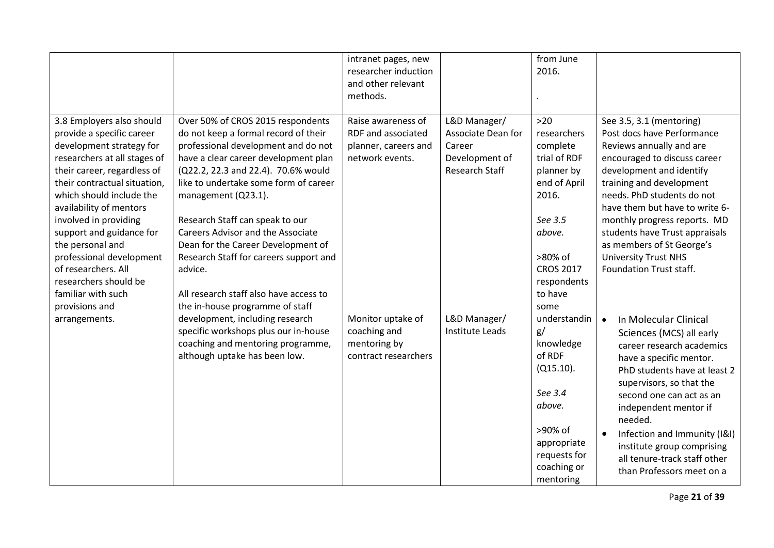|                                                                                                                                                                                                                                                                                                                                                                                                                                                        |                                                                                                                                                                                                                                                                                                                                                                                                                                                                                                                                                                                                                                        | intranet pages, new<br>researcher induction<br>and other relevant<br>methods.                                                            |                                                                                                                     | from June<br>2016.                                                                                                                                                                                               |                                                                                                                                                                                                                                                                                                                                                                                                                                                                                                    |
|--------------------------------------------------------------------------------------------------------------------------------------------------------------------------------------------------------------------------------------------------------------------------------------------------------------------------------------------------------------------------------------------------------------------------------------------------------|----------------------------------------------------------------------------------------------------------------------------------------------------------------------------------------------------------------------------------------------------------------------------------------------------------------------------------------------------------------------------------------------------------------------------------------------------------------------------------------------------------------------------------------------------------------------------------------------------------------------------------------|------------------------------------------------------------------------------------------------------------------------------------------|---------------------------------------------------------------------------------------------------------------------|------------------------------------------------------------------------------------------------------------------------------------------------------------------------------------------------------------------|----------------------------------------------------------------------------------------------------------------------------------------------------------------------------------------------------------------------------------------------------------------------------------------------------------------------------------------------------------------------------------------------------------------------------------------------------------------------------------------------------|
| 3.8 Employers also should<br>provide a specific career<br>development strategy for<br>researchers at all stages of<br>their career, regardless of<br>their contractual situation,<br>which should include the<br>availability of mentors<br>involved in providing<br>support and guidance for<br>the personal and<br>professional development<br>of researchers. All<br>researchers should be<br>familiar with such<br>provisions and<br>arrangements. | Over 50% of CROS 2015 respondents<br>do not keep a formal record of their<br>professional development and do not<br>have a clear career development plan<br>(Q22.2, 22.3 and 22.4). 70.6% would<br>like to undertake some form of career<br>management (Q23.1).<br>Research Staff can speak to our<br><b>Careers Advisor and the Associate</b><br>Dean for the Career Development of<br>Research Staff for careers support and<br>advice.<br>All research staff also have access to<br>the in-house programme of staff<br>development, including research<br>specific workshops plus our in-house<br>coaching and mentoring programme, | Raise awareness of<br>RDF and associated<br>planner, careers and<br>network events.<br>Monitor uptake of<br>coaching and<br>mentoring by | L&D Manager/<br>Associate Dean for<br>Career<br>Development of<br>Research Staff<br>L&D Manager/<br>Institute Leads | $>20$<br>researchers<br>complete<br>trial of RDF<br>planner by<br>end of April<br>2016.<br>See 3.5<br>above.<br>>80% of<br><b>CROS 2017</b><br>respondents<br>to have<br>some<br>understandin<br>g/<br>knowledge | See 3.5, 3.1 (mentoring)<br>Post docs have Performance<br>Reviews annually and are<br>encouraged to discuss career<br>development and identify<br>training and development<br>needs. PhD students do not<br>have them but have to write 6-<br>monthly progress reports. MD<br>students have Trust appraisals<br>as members of St George's<br><b>University Trust NHS</b><br>Foundation Trust staff.<br>In Molecular Clinical<br>$\bullet$<br>Sciences (MCS) all early<br>career research academics |
|                                                                                                                                                                                                                                                                                                                                                                                                                                                        | although uptake has been low.                                                                                                                                                                                                                                                                                                                                                                                                                                                                                                                                                                                                          | contract researchers                                                                                                                     |                                                                                                                     | of RDF<br>$(Q15.10)$ .<br>See 3.4<br>above.<br>>90% of<br>appropriate<br>requests for<br>coaching or<br>mentoring                                                                                                | have a specific mentor.<br>PhD students have at least 2<br>supervisors, so that the<br>second one can act as an<br>independent mentor if<br>needed.<br>Infection and Immunity (I&I)<br>institute group comprising<br>all tenure-track staff other<br>than Professors meet on a                                                                                                                                                                                                                     |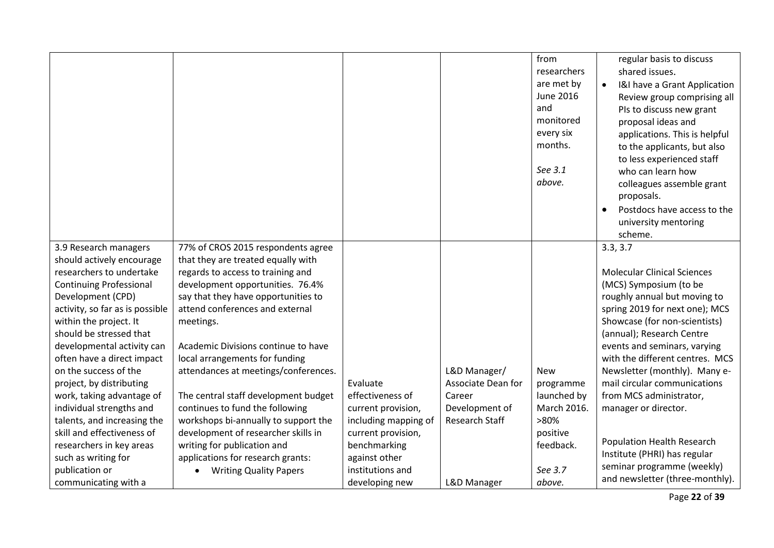|                                 |                                      |                      |                       | from<br>researchers<br>are met by<br>June 2016<br>and<br>monitored<br>every six<br>months.<br>See 3.1<br>above. | regular basis to discuss<br>shared issues.<br>I&I have a Grant Application<br>$\bullet$<br>Review group comprising all<br>PIs to discuss new grant<br>proposal ideas and<br>applications. This is helpful<br>to the applicants, but also<br>to less experienced staff<br>who can learn how<br>colleagues assemble grant<br>proposals.<br>Postdocs have access to the<br>university mentoring<br>scheme. |
|---------------------------------|--------------------------------------|----------------------|-----------------------|-----------------------------------------------------------------------------------------------------------------|---------------------------------------------------------------------------------------------------------------------------------------------------------------------------------------------------------------------------------------------------------------------------------------------------------------------------------------------------------------------------------------------------------|
| 3.9 Research managers           | 77% of CROS 2015 respondents agree   |                      |                       |                                                                                                                 | 3.3, 3.7                                                                                                                                                                                                                                                                                                                                                                                                |
| should actively encourage       | that they are treated equally with   |                      |                       |                                                                                                                 |                                                                                                                                                                                                                                                                                                                                                                                                         |
| researchers to undertake        | regards to access to training and    |                      |                       |                                                                                                                 | <b>Molecular Clinical Sciences</b>                                                                                                                                                                                                                                                                                                                                                                      |
| <b>Continuing Professional</b>  | development opportunities. 76.4%     |                      |                       |                                                                                                                 | (MCS) Symposium (to be                                                                                                                                                                                                                                                                                                                                                                                  |
| Development (CPD)               | say that they have opportunities to  |                      |                       |                                                                                                                 | roughly annual but moving to                                                                                                                                                                                                                                                                                                                                                                            |
| activity, so far as is possible | attend conferences and external      |                      |                       |                                                                                                                 | spring 2019 for next one); MCS                                                                                                                                                                                                                                                                                                                                                                          |
| within the project. It          | meetings.                            |                      |                       |                                                                                                                 | Showcase (for non-scientists)                                                                                                                                                                                                                                                                                                                                                                           |
| should be stressed that         |                                      |                      |                       |                                                                                                                 | (annual); Research Centre                                                                                                                                                                                                                                                                                                                                                                               |
| developmental activity can      | Academic Divisions continue to have  |                      |                       |                                                                                                                 | events and seminars, varying                                                                                                                                                                                                                                                                                                                                                                            |
| often have a direct impact      | local arrangements for funding       |                      |                       |                                                                                                                 | with the different centres. MCS                                                                                                                                                                                                                                                                                                                                                                         |
| on the success of the           | attendances at meetings/conferences. |                      | L&D Manager/          | <b>New</b>                                                                                                      | Newsletter (monthly). Many e-                                                                                                                                                                                                                                                                                                                                                                           |
| project, by distributing        |                                      | Evaluate             | Associate Dean for    | programme                                                                                                       | mail circular communications                                                                                                                                                                                                                                                                                                                                                                            |
| work, taking advantage of       | The central staff development budget | effectiveness of     | Career                | launched by                                                                                                     | from MCS administrator,                                                                                                                                                                                                                                                                                                                                                                                 |
| individual strengths and        | continues to fund the following      | current provision,   | Development of        | March 2016.                                                                                                     | manager or director.                                                                                                                                                                                                                                                                                                                                                                                    |
| talents, and increasing the     | workshops bi-annually to support the | including mapping of | <b>Research Staff</b> | >80%                                                                                                            |                                                                                                                                                                                                                                                                                                                                                                                                         |
| skill and effectiveness of      | development of researcher skills in  | current provision,   |                       | positive                                                                                                        |                                                                                                                                                                                                                                                                                                                                                                                                         |
| researchers in key areas        | writing for publication and          | benchmarking         |                       | feedback.                                                                                                       | <b>Population Health Research</b>                                                                                                                                                                                                                                                                                                                                                                       |
| such as writing for             | applications for research grants:    | against other        |                       |                                                                                                                 | Institute (PHRI) has regular                                                                                                                                                                                                                                                                                                                                                                            |
| publication or                  | <b>Writing Quality Papers</b>        | institutions and     |                       | See 3.7                                                                                                         | seminar programme (weekly)                                                                                                                                                                                                                                                                                                                                                                              |
| communicating with a            |                                      | developing new       | L&D Manager           | above.                                                                                                          | and newsletter (three-monthly).                                                                                                                                                                                                                                                                                                                                                                         |

Page **22** of **39**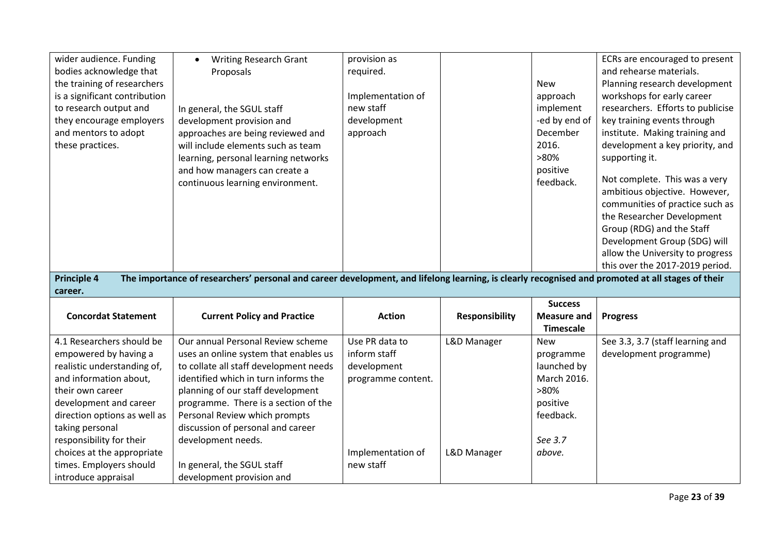| wider audience. Funding<br>bodies acknowledge that<br>the training of researchers<br>is a significant contribution<br>to research output and<br>they encourage employers<br>and mentors to adopt<br>these practices.<br><b>Principle 4</b>                                                        | <b>Writing Research Grant</b><br>$\bullet$<br>Proposals<br>In general, the SGUL staff<br>development provision and<br>approaches are being reviewed and<br>will include elements such as team<br>learning, personal learning networks<br>and how managers can create a<br>continuous learning environment.<br>The importance of researchers' personal and career development, and lifelong learning, is clearly recognised and promoted at all stages of their | provision as<br>required.<br>Implementation of<br>new staff<br>development<br>approach   |                            | <b>New</b><br>approach<br>implement<br>-ed by end of<br>December<br>2016.<br>$>80\%$<br>positive<br>feedback. | ECRs are encouraged to present<br>and rehearse materials.<br>Planning research development<br>workshops for early career<br>researchers. Efforts to publicise<br>key training events through<br>institute. Making training and<br>development a key priority, and<br>supporting it.<br>Not complete. This was a very<br>ambitious objective. However,<br>communities of practice such as<br>the Researcher Development<br>Group (RDG) and the Staff<br>Development Group (SDG) will<br>allow the University to progress<br>this over the 2017-2019 period. |
|---------------------------------------------------------------------------------------------------------------------------------------------------------------------------------------------------------------------------------------------------------------------------------------------------|----------------------------------------------------------------------------------------------------------------------------------------------------------------------------------------------------------------------------------------------------------------------------------------------------------------------------------------------------------------------------------------------------------------------------------------------------------------|------------------------------------------------------------------------------------------|----------------------------|---------------------------------------------------------------------------------------------------------------|------------------------------------------------------------------------------------------------------------------------------------------------------------------------------------------------------------------------------------------------------------------------------------------------------------------------------------------------------------------------------------------------------------------------------------------------------------------------------------------------------------------------------------------------------------|
| career.                                                                                                                                                                                                                                                                                           |                                                                                                                                                                                                                                                                                                                                                                                                                                                                |                                                                                          |                            | <b>Success</b>                                                                                                |                                                                                                                                                                                                                                                                                                                                                                                                                                                                                                                                                            |
| <b>Concordat Statement</b>                                                                                                                                                                                                                                                                        | <b>Current Policy and Practice</b>                                                                                                                                                                                                                                                                                                                                                                                                                             | <b>Action</b>                                                                            | <b>Responsibility</b>      | <b>Measure and</b><br><b>Timescale</b>                                                                        | <b>Progress</b>                                                                                                                                                                                                                                                                                                                                                                                                                                                                                                                                            |
| 4.1 Researchers should be<br>empowered by having a<br>realistic understanding of,<br>and information about,<br>their own career<br>development and career<br>direction options as well as<br>taking personal<br>responsibility for their<br>choices at the appropriate<br>times. Employers should | Our annual Personal Review scheme<br>uses an online system that enables us<br>to collate all staff development needs<br>identified which in turn informs the<br>planning of our staff development<br>programme. There is a section of the<br>Personal Review which prompts<br>discussion of personal and career<br>development needs.                                                                                                                          | Use PR data to<br>inform staff<br>development<br>programme content.<br>Implementation of | L&D Manager<br>L&D Manager | <b>New</b><br>programme<br>launched by<br>March 2016.<br>>80%<br>positive<br>feedback.<br>See 3.7<br>above.   | See 3.3, 3.7 (staff learning and<br>development programme)                                                                                                                                                                                                                                                                                                                                                                                                                                                                                                 |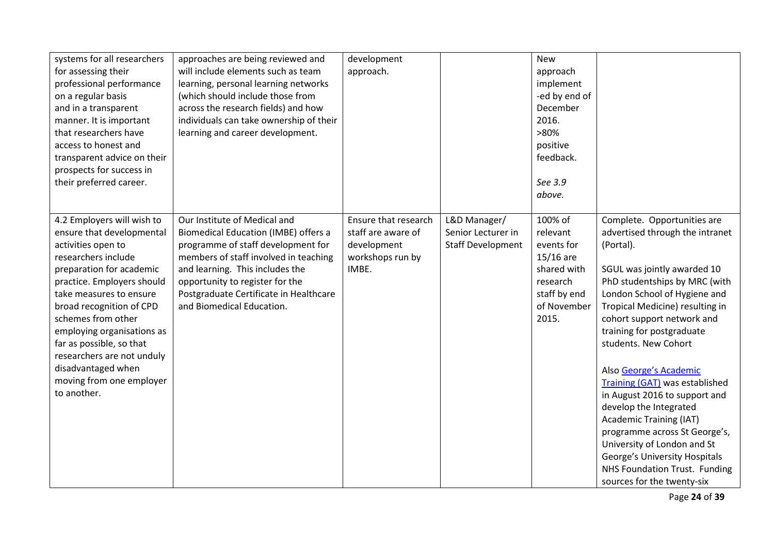| systems for all researchers<br>for assessing their<br>professional performance<br>on a regular basis<br>and in a transparent<br>manner. It is important<br>that researchers have<br>access to honest and<br>transparent advice on their<br>prospects for success in<br>their preferred career.                                                                                                       | approaches are being reviewed and<br>will include elements such as team<br>learning, personal learning networks<br>(which should include those from<br>across the research fields) and how<br>individuals can take ownership of their<br>learning and career development.                        | development<br>approach.                                                               |                                                                | <b>New</b><br>approach<br>implement<br>-ed by end of<br>December<br>2016.<br>>80%<br>positive<br>feedback.<br>See 3.9<br>above. |                                                                                                                                                                                                                                                                                                                                                                                                                                                                                                                                                                                                                            |
|------------------------------------------------------------------------------------------------------------------------------------------------------------------------------------------------------------------------------------------------------------------------------------------------------------------------------------------------------------------------------------------------------|--------------------------------------------------------------------------------------------------------------------------------------------------------------------------------------------------------------------------------------------------------------------------------------------------|----------------------------------------------------------------------------------------|----------------------------------------------------------------|---------------------------------------------------------------------------------------------------------------------------------|----------------------------------------------------------------------------------------------------------------------------------------------------------------------------------------------------------------------------------------------------------------------------------------------------------------------------------------------------------------------------------------------------------------------------------------------------------------------------------------------------------------------------------------------------------------------------------------------------------------------------|
| 4.2 Employers will wish to<br>ensure that developmental<br>activities open to<br>researchers include<br>preparation for academic<br>practice. Employers should<br>take measures to ensure<br>broad recognition of CPD<br>schemes from other<br>employing organisations as<br>far as possible, so that<br>researchers are not unduly<br>disadvantaged when<br>moving from one employer<br>to another. | Our Institute of Medical and<br>Biomedical Education (IMBE) offers a<br>programme of staff development for<br>members of staff involved in teaching<br>and learning. This includes the<br>opportunity to register for the<br>Postgraduate Certificate in Healthcare<br>and Biomedical Education. | Ensure that research<br>staff are aware of<br>development<br>workshops run by<br>IMBE. | L&D Manager/<br>Senior Lecturer in<br><b>Staff Development</b> | 100% of<br>relevant<br>events for<br>$15/16$ are<br>shared with<br>research<br>staff by end<br>of November<br>2015.             | Complete. Opportunities are<br>advertised through the intranet<br>(Portal).<br>SGUL was jointly awarded 10<br>PhD studentships by MRC (with<br>London School of Hygiene and<br>Tropical Medicine) resulting in<br>cohort support network and<br>training for postgraduate<br>students. New Cohort<br>Also George's Academic<br>Training (GAT) was established<br>in August 2016 to support and<br>develop the Integrated<br><b>Academic Training (IAT)</b><br>programme across St George's,<br>University of London and St<br>George's University Hospitals<br>NHS Foundation Trust. Funding<br>sources for the twenty-six |

Page **24** of **39**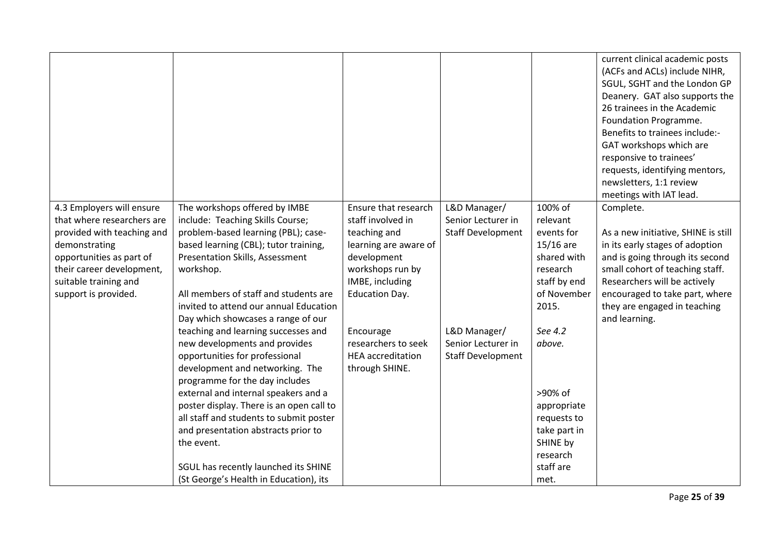|                                                                                                                                                                                                                  |                                                                                                                                                                                                                                                                                                                                                                                                                                                                                                                                                                                                                                                                                                                                                                                 |                                                                                                                                                                                                                                                     |                                                                                                                                  |                                                                                                                                                                                                                                                | current clinical academic posts<br>(ACFs and ACLs) include NIHR,<br>SGUL, SGHT and the London GP<br>Deanery. GAT also supports the<br>26 trainees in the Academic<br>Foundation Programme.<br>Benefits to trainees include:-<br>GAT workshops which are<br>responsive to trainees'<br>requests, identifying mentors,<br>newsletters, 1:1 review<br>meetings with IAT lead. |
|------------------------------------------------------------------------------------------------------------------------------------------------------------------------------------------------------------------|---------------------------------------------------------------------------------------------------------------------------------------------------------------------------------------------------------------------------------------------------------------------------------------------------------------------------------------------------------------------------------------------------------------------------------------------------------------------------------------------------------------------------------------------------------------------------------------------------------------------------------------------------------------------------------------------------------------------------------------------------------------------------------|-----------------------------------------------------------------------------------------------------------------------------------------------------------------------------------------------------------------------------------------------------|----------------------------------------------------------------------------------------------------------------------------------|------------------------------------------------------------------------------------------------------------------------------------------------------------------------------------------------------------------------------------------------|----------------------------------------------------------------------------------------------------------------------------------------------------------------------------------------------------------------------------------------------------------------------------------------------------------------------------------------------------------------------------|
| 4.3 Employers will ensure<br>that where researchers are<br>provided with teaching and<br>demonstrating<br>opportunities as part of<br>their career development,<br>suitable training and<br>support is provided. | The workshops offered by IMBE<br>include: Teaching Skills Course;<br>problem-based learning (PBL); case-<br>based learning (CBL); tutor training,<br>Presentation Skills, Assessment<br>workshop.<br>All members of staff and students are<br>invited to attend our annual Education<br>Day which showcases a range of our<br>teaching and learning successes and<br>new developments and provides<br>opportunities for professional<br>development and networking. The<br>programme for the day includes<br>external and internal speakers and a<br>poster display. There is an open call to<br>all staff and students to submit poster<br>and presentation abstracts prior to<br>the event.<br>SGUL has recently launched its SHINE<br>(St George's Health in Education), its | Ensure that research<br>staff involved in<br>teaching and<br>learning are aware of<br>development<br>workshops run by<br>IMBE, including<br><b>Education Day.</b><br>Encourage<br>researchers to seek<br><b>HEA</b> accreditation<br>through SHINE. | L&D Manager/<br>Senior Lecturer in<br><b>Staff Development</b><br>L&D Manager/<br>Senior Lecturer in<br><b>Staff Development</b> | 100% of<br>relevant<br>events for<br>$15/16$ are<br>shared with<br>research<br>staff by end<br>of November<br>2015.<br>See 4.2<br>above.<br>>90% of<br>appropriate<br>requests to<br>take part in<br>SHINE by<br>research<br>staff are<br>met. | Complete.<br>As a new initiative, SHINE is still<br>in its early stages of adoption<br>and is going through its second<br>small cohort of teaching staff.<br>Researchers will be actively<br>encouraged to take part, where<br>they are engaged in teaching<br>and learning.                                                                                               |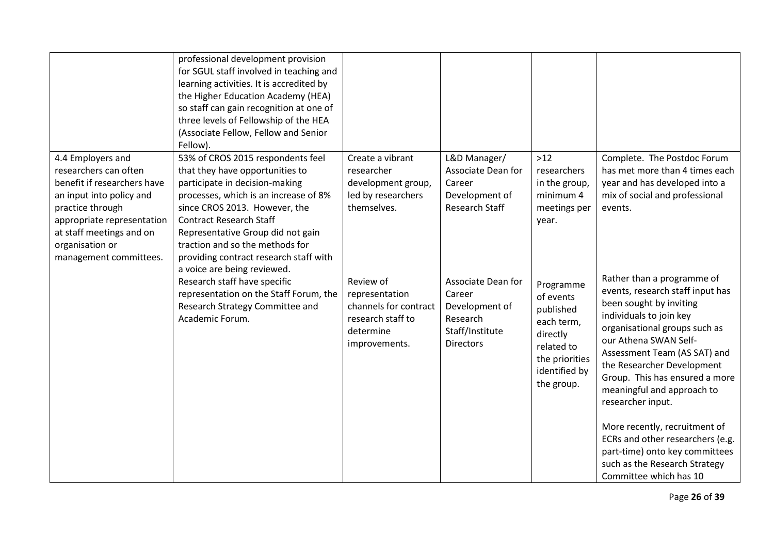|                                                        | professional development provision<br>for SGUL staff involved in teaching and<br>learning activities. It is accredited by<br>the Higher Education Academy (HEA)<br>so staff can gain recognition at one of<br>three levels of Fellowship of the HEA<br>(Associate Fellow, Fellow and Senior<br>Fellow). |                                                                                                         |                                                                                                   |                                                                                                                              |                                                                                                                                                                                                                                                                                                                                   |
|--------------------------------------------------------|---------------------------------------------------------------------------------------------------------------------------------------------------------------------------------------------------------------------------------------------------------------------------------------------------------|---------------------------------------------------------------------------------------------------------|---------------------------------------------------------------------------------------------------|------------------------------------------------------------------------------------------------------------------------------|-----------------------------------------------------------------------------------------------------------------------------------------------------------------------------------------------------------------------------------------------------------------------------------------------------------------------------------|
| 4.4 Employers and                                      | 53% of CROS 2015 respondents feel                                                                                                                                                                                                                                                                       | Create a vibrant                                                                                        | L&D Manager/                                                                                      | $>12$                                                                                                                        | Complete. The Postdoc Forum                                                                                                                                                                                                                                                                                                       |
| researchers can often                                  | that they have opportunities to                                                                                                                                                                                                                                                                         | researcher                                                                                              | Associate Dean for                                                                                | researchers                                                                                                                  | has met more than 4 times each                                                                                                                                                                                                                                                                                                    |
| benefit if researchers have                            | participate in decision-making                                                                                                                                                                                                                                                                          | development group,                                                                                      | Career                                                                                            | in the group,                                                                                                                | year and has developed into a                                                                                                                                                                                                                                                                                                     |
| an input into policy and                               | processes, which is an increase of 8%                                                                                                                                                                                                                                                                   | led by researchers                                                                                      | Development of                                                                                    | minimum 4                                                                                                                    | mix of social and professional                                                                                                                                                                                                                                                                                                    |
| practice through                                       | since CROS 2013. However, the                                                                                                                                                                                                                                                                           | themselves.                                                                                             | <b>Research Staff</b>                                                                             | meetings per                                                                                                                 | events.                                                                                                                                                                                                                                                                                                                           |
| appropriate representation<br>at staff meetings and on | <b>Contract Research Staff</b>                                                                                                                                                                                                                                                                          |                                                                                                         |                                                                                                   | year.                                                                                                                        |                                                                                                                                                                                                                                                                                                                                   |
| organisation or                                        | Representative Group did not gain<br>traction and so the methods for                                                                                                                                                                                                                                    |                                                                                                         |                                                                                                   |                                                                                                                              |                                                                                                                                                                                                                                                                                                                                   |
| management committees.                                 | providing contract research staff with                                                                                                                                                                                                                                                                  |                                                                                                         |                                                                                                   |                                                                                                                              |                                                                                                                                                                                                                                                                                                                                   |
|                                                        | a voice are being reviewed.                                                                                                                                                                                                                                                                             |                                                                                                         |                                                                                                   |                                                                                                                              |                                                                                                                                                                                                                                                                                                                                   |
|                                                        | Research staff have specific<br>representation on the Staff Forum, the<br>Research Strategy Committee and<br>Academic Forum.                                                                                                                                                                            | Review of<br>representation<br>channels for contract<br>research staff to<br>determine<br>improvements. | Associate Dean for<br>Career<br>Development of<br>Research<br>Staff/Institute<br><b>Directors</b> | Programme<br>of events<br>published<br>each term,<br>directly<br>related to<br>the priorities<br>identified by<br>the group. | Rather than a programme of<br>events, research staff input has<br>been sought by inviting<br>individuals to join key<br>organisational groups such as<br>our Athena SWAN Self-<br>Assessment Team (AS SAT) and<br>the Researcher Development<br>Group. This has ensured a more<br>meaningful and approach to<br>researcher input. |
|                                                        |                                                                                                                                                                                                                                                                                                         |                                                                                                         |                                                                                                   |                                                                                                                              | More recently, recruitment of<br>ECRs and other researchers (e.g.<br>part-time) onto key committees<br>such as the Research Strategy<br>Committee which has 10                                                                                                                                                                    |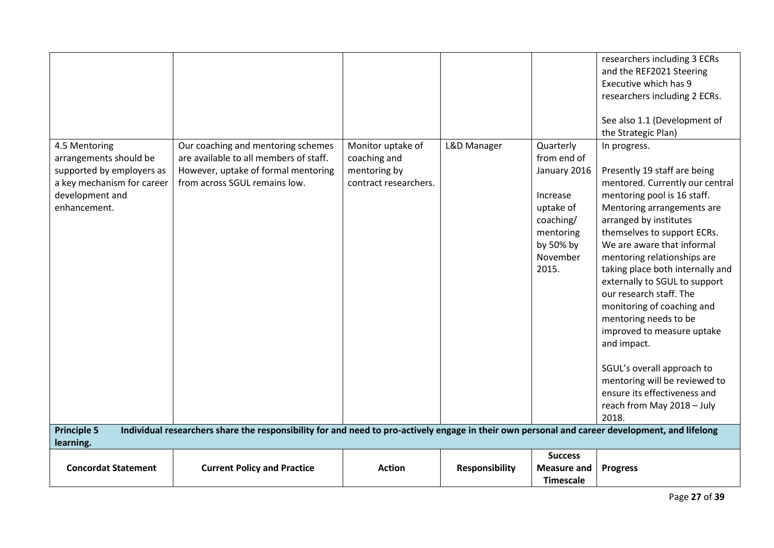| 4.5 Mentoring<br>arrangements should be<br>supported by employers as<br>a key mechanism for career<br>development and<br>enhancement. | Our coaching and mentoring schemes<br>are available to all members of staff.<br>However, uptake of formal mentoring<br>from across SGUL remains low. | Monitor uptake of<br>coaching and<br>mentoring by<br>contract researchers. | L&D Manager           | Quarterly<br>from end of<br>January 2016<br>Increase<br>uptake of<br>coaching/<br>mentoring<br>by 50% by<br>November<br>2015. | researchers including 3 ECRs<br>and the REF2021 Steering<br>Executive which has 9<br>researchers including 2 ECRs.<br>See also 1.1 (Development of<br>the Strategic Plan)<br>In progress.<br>Presently 19 staff are being<br>mentored. Currently our central<br>mentoring pool is 16 staff.<br>Mentoring arrangements are<br>arranged by institutes<br>themselves to support ECRs.<br>We are aware that informal<br>mentoring relationships are<br>taking place both internally and<br>externally to SGUL to support<br>our research staff. The<br>monitoring of coaching and<br>mentoring needs to be<br>improved to measure uptake<br>and impact.<br>SGUL's overall approach to<br>mentoring will be reviewed to<br>ensure its effectiveness and<br>reach from May 2018 - July<br>2018. |
|---------------------------------------------------------------------------------------------------------------------------------------|------------------------------------------------------------------------------------------------------------------------------------------------------|----------------------------------------------------------------------------|-----------------------|-------------------------------------------------------------------------------------------------------------------------------|-------------------------------------------------------------------------------------------------------------------------------------------------------------------------------------------------------------------------------------------------------------------------------------------------------------------------------------------------------------------------------------------------------------------------------------------------------------------------------------------------------------------------------------------------------------------------------------------------------------------------------------------------------------------------------------------------------------------------------------------------------------------------------------------|
| <b>Principle 5</b><br>learning.                                                                                                       | Individual researchers share the responsibility for and need to pro-actively engage in their own personal and career development, and lifelong       |                                                                            |                       |                                                                                                                               |                                                                                                                                                                                                                                                                                                                                                                                                                                                                                                                                                                                                                                                                                                                                                                                           |
|                                                                                                                                       |                                                                                                                                                      |                                                                            |                       | <b>Success</b>                                                                                                                |                                                                                                                                                                                                                                                                                                                                                                                                                                                                                                                                                                                                                                                                                                                                                                                           |
| <b>Concordat Statement</b>                                                                                                            | <b>Current Policy and Practice</b>                                                                                                                   | <b>Action</b>                                                              | <b>Responsibility</b> | <b>Measure and</b><br><b>Timescale</b>                                                                                        | <b>Progress</b>                                                                                                                                                                                                                                                                                                                                                                                                                                                                                                                                                                                                                                                                                                                                                                           |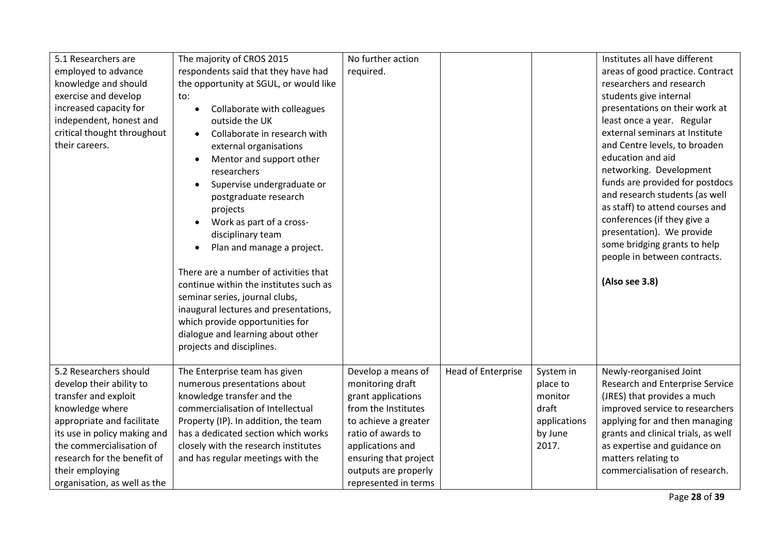| 5.1 Researchers are          | The majority of CROS 2015                 | No further action     |                    |              | Institutes all have different       |
|------------------------------|-------------------------------------------|-----------------------|--------------------|--------------|-------------------------------------|
| employed to advance          | respondents said that they have had       | required.             |                    |              | areas of good practice. Contract    |
| knowledge and should         | the opportunity at SGUL, or would like    |                       |                    |              | researchers and research            |
| exercise and develop         | to:                                       |                       |                    |              | students give internal              |
| increased capacity for       | Collaborate with colleagues<br>$\bullet$  |                       |                    |              | presentations on their work at      |
| independent, honest and      | outside the UK                            |                       |                    |              | least once a year. Regular          |
| critical thought throughout  | Collaborate in research with<br>$\bullet$ |                       |                    |              | external seminars at Institute      |
| their careers.               | external organisations                    |                       |                    |              | and Centre levels, to broaden       |
|                              | Mentor and support other                  |                       |                    |              | education and aid                   |
|                              | researchers                               |                       |                    |              | networking. Development             |
|                              | Supervise undergraduate or                |                       |                    |              | funds are provided for postdocs     |
|                              | postgraduate research                     |                       |                    |              | and research students (as well      |
|                              | projects                                  |                       |                    |              | as staff) to attend courses and     |
|                              | Work as part of a cross-                  |                       |                    |              | conferences (if they give a         |
|                              | disciplinary team                         |                       |                    |              | presentation). We provide           |
|                              | Plan and manage a project.                |                       |                    |              | some bridging grants to help        |
|                              |                                           |                       |                    |              | people in between contracts.        |
|                              | There are a number of activities that     |                       |                    |              |                                     |
|                              | continue within the institutes such as    |                       |                    |              | (Also see 3.8)                      |
|                              | seminar series, journal clubs,            |                       |                    |              |                                     |
|                              | inaugural lectures and presentations,     |                       |                    |              |                                     |
|                              | which provide opportunities for           |                       |                    |              |                                     |
|                              | dialogue and learning about other         |                       |                    |              |                                     |
|                              | projects and disciplines.                 |                       |                    |              |                                     |
|                              |                                           |                       |                    |              |                                     |
| 5.2 Researchers should       | The Enterprise team has given             | Develop a means of    | Head of Enterprise | System in    | Newly-reorganised Joint             |
| develop their ability to     | numerous presentations about              | monitoring draft      |                    | place to     | Research and Enterprise Service     |
| transfer and exploit         | knowledge transfer and the                | grant applications    |                    | monitor      | (JRES) that provides a much         |
| knowledge where              | commercialisation of Intellectual         | from the Institutes   |                    | draft        | improved service to researchers     |
| appropriate and facilitate   | Property (IP). In addition, the team      | to achieve a greater  |                    | applications | applying for and then managing      |
| its use in policy making and | has a dedicated section which works       | ratio of awards to    |                    | by June      | grants and clinical trials, as well |
| the commercialisation of     | closely with the research institutes      | applications and      |                    | 2017.        | as expertise and guidance on        |
| research for the benefit of  | and has regular meetings with the         | ensuring that project |                    |              | matters relating to                 |
| their employing              |                                           | outputs are properly  |                    |              | commercialisation of research.      |
| organisation, as well as the |                                           | represented in terms  |                    |              |                                     |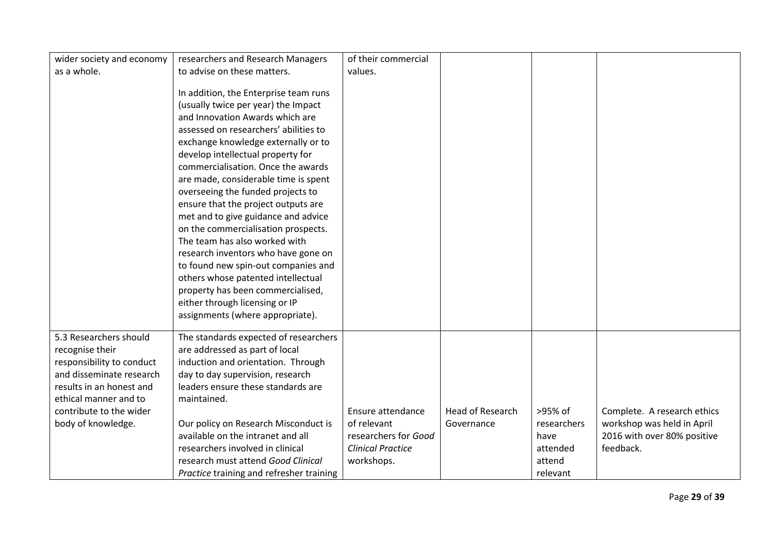| wider society and economy | researchers and Research Managers        | of their commercial      |                         |             |                             |
|---------------------------|------------------------------------------|--------------------------|-------------------------|-------------|-----------------------------|
| as a whole.               | to advise on these matters.              | values.                  |                         |             |                             |
|                           |                                          |                          |                         |             |                             |
|                           | In addition, the Enterprise team runs    |                          |                         |             |                             |
|                           | (usually twice per year) the Impact      |                          |                         |             |                             |
|                           | and Innovation Awards which are          |                          |                         |             |                             |
|                           | assessed on researchers' abilities to    |                          |                         |             |                             |
|                           | exchange knowledge externally or to      |                          |                         |             |                             |
|                           | develop intellectual property for        |                          |                         |             |                             |
|                           | commercialisation. Once the awards       |                          |                         |             |                             |
|                           | are made, considerable time is spent     |                          |                         |             |                             |
|                           | overseeing the funded projects to        |                          |                         |             |                             |
|                           | ensure that the project outputs are      |                          |                         |             |                             |
|                           | met and to give guidance and advice      |                          |                         |             |                             |
|                           | on the commercialisation prospects.      |                          |                         |             |                             |
|                           | The team has also worked with            |                          |                         |             |                             |
|                           | research inventors who have gone on      |                          |                         |             |                             |
|                           | to found new spin-out companies and      |                          |                         |             |                             |
|                           | others whose patented intellectual       |                          |                         |             |                             |
|                           | property has been commercialised,        |                          |                         |             |                             |
|                           | either through licensing or IP           |                          |                         |             |                             |
|                           | assignments (where appropriate).         |                          |                         |             |                             |
| 5.3 Researchers should    |                                          |                          |                         |             |                             |
|                           | The standards expected of researchers    |                          |                         |             |                             |
| recognise their           | are addressed as part of local           |                          |                         |             |                             |
| responsibility to conduct | induction and orientation. Through       |                          |                         |             |                             |
| and disseminate research  | day to day supervision, research         |                          |                         |             |                             |
| results in an honest and  | leaders ensure these standards are       |                          |                         |             |                             |
| ethical manner and to     | maintained.                              |                          |                         |             |                             |
| contribute to the wider   |                                          | Ensure attendance        | <b>Head of Research</b> | >95% of     | Complete. A research ethics |
| body of knowledge.        | Our policy on Research Misconduct is     | of relevant              | Governance              | researchers | workshop was held in April  |
|                           | available on the intranet and all        | researchers for Good     |                         | have        | 2016 with over 80% positive |
|                           | researchers involved in clinical         | <b>Clinical Practice</b> |                         | attended    | feedback.                   |
|                           | research must attend Good Clinical       | workshops.               |                         | attend      |                             |
|                           | Practice training and refresher training |                          |                         | relevant    |                             |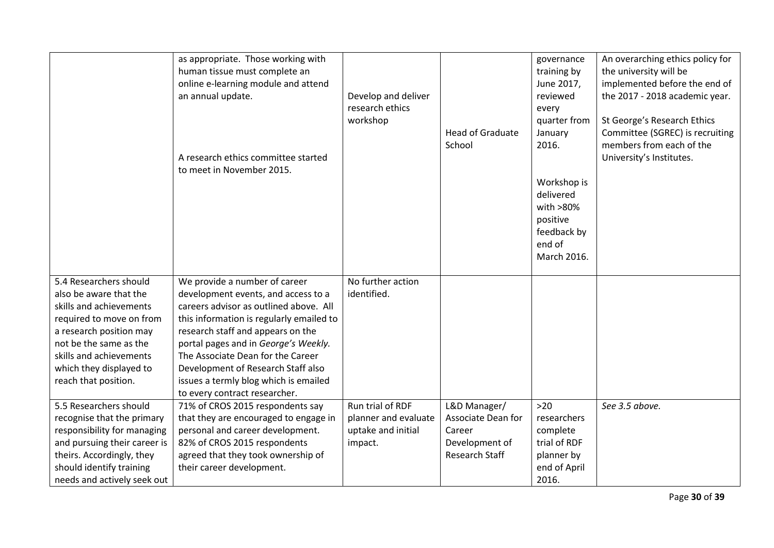|                                                  | as appropriate. Those working with<br>human tissue must complete an<br>online e-learning module and attend<br>an annual update.<br>A research ethics committee started<br>to meet in November 2015. | Develop and deliver<br>research ethics<br>workshop | <b>Head of Graduate</b><br>School | governance<br>training by<br>June 2017,<br>reviewed<br>every<br>quarter from<br>January<br>2016.<br>Workshop is<br>delivered<br>with >80%<br>positive<br>feedback by<br>end of<br>March 2016. | An overarching ethics policy for<br>the university will be<br>implemented before the end of<br>the 2017 - 2018 academic year.<br>St George's Research Ethics<br>Committee (SGREC) is recruiting<br>members from each of the<br>University's Institutes. |
|--------------------------------------------------|-----------------------------------------------------------------------------------------------------------------------------------------------------------------------------------------------------|----------------------------------------------------|-----------------------------------|-----------------------------------------------------------------------------------------------------------------------------------------------------------------------------------------------|---------------------------------------------------------------------------------------------------------------------------------------------------------------------------------------------------------------------------------------------------------|
| 5.4 Researchers should<br>also be aware that the | We provide a number of career<br>development events, and access to a                                                                                                                                | No further action<br>identified.                   |                                   |                                                                                                                                                                                               |                                                                                                                                                                                                                                                         |
| skills and achievements                          | careers advisor as outlined above. All                                                                                                                                                              |                                                    |                                   |                                                                                                                                                                                               |                                                                                                                                                                                                                                                         |
| required to move on from                         | this information is regularly emailed to                                                                                                                                                            |                                                    |                                   |                                                                                                                                                                                               |                                                                                                                                                                                                                                                         |
| a research position may                          | research staff and appears on the                                                                                                                                                                   |                                                    |                                   |                                                                                                                                                                                               |                                                                                                                                                                                                                                                         |
| not be the same as the                           | portal pages and in George's Weekly.                                                                                                                                                                |                                                    |                                   |                                                                                                                                                                                               |                                                                                                                                                                                                                                                         |
| skills and achievements                          | The Associate Dean for the Career                                                                                                                                                                   |                                                    |                                   |                                                                                                                                                                                               |                                                                                                                                                                                                                                                         |
| which they displayed to                          | Development of Research Staff also                                                                                                                                                                  |                                                    |                                   |                                                                                                                                                                                               |                                                                                                                                                                                                                                                         |
| reach that position.                             | issues a termly blog which is emailed                                                                                                                                                               |                                                    |                                   |                                                                                                                                                                                               |                                                                                                                                                                                                                                                         |
|                                                  | to every contract researcher.                                                                                                                                                                       |                                                    |                                   |                                                                                                                                                                                               |                                                                                                                                                                                                                                                         |
| 5.5 Researchers should                           | 71% of CROS 2015 respondents say                                                                                                                                                                    | Run trial of RDF                                   | L&D Manager/                      | $>20$                                                                                                                                                                                         | See 3.5 above.                                                                                                                                                                                                                                          |
| recognise that the primary                       | that they are encouraged to engage in                                                                                                                                                               | planner and evaluate                               | Associate Dean for                | researchers                                                                                                                                                                                   |                                                                                                                                                                                                                                                         |
| responsibility for managing                      | personal and career development.                                                                                                                                                                    | uptake and initial                                 | Career                            | complete                                                                                                                                                                                      |                                                                                                                                                                                                                                                         |
| and pursuing their career is                     | 82% of CROS 2015 respondents                                                                                                                                                                        | impact.                                            | Development of                    | trial of RDF                                                                                                                                                                                  |                                                                                                                                                                                                                                                         |
| theirs. Accordingly, they                        | agreed that they took ownership of                                                                                                                                                                  |                                                    | Research Staff                    | planner by                                                                                                                                                                                    |                                                                                                                                                                                                                                                         |
| should identify training                         | their career development.                                                                                                                                                                           |                                                    |                                   | end of April                                                                                                                                                                                  |                                                                                                                                                                                                                                                         |
| needs and actively seek out                      |                                                                                                                                                                                                     |                                                    |                                   | 2016.                                                                                                                                                                                         |                                                                                                                                                                                                                                                         |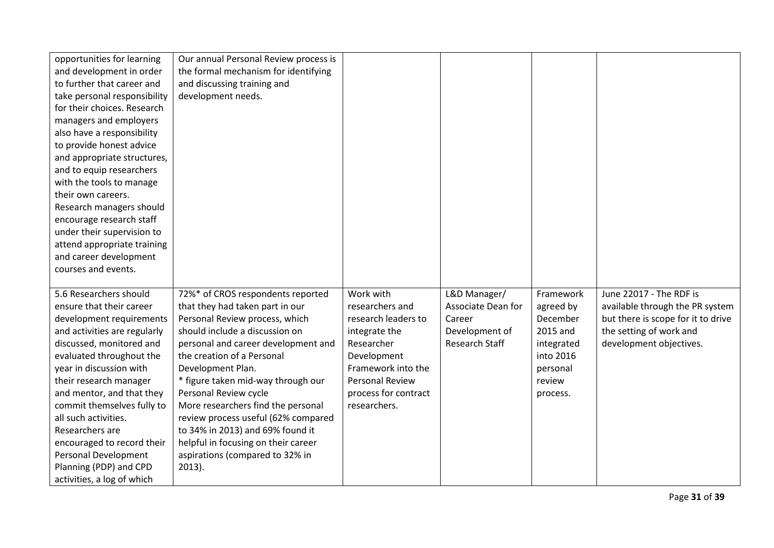| opportunities for learning<br>and development in order<br>to further that career and<br>take personal responsibility<br>for their choices. Research<br>managers and employers<br>also have a responsibility<br>to provide honest advice<br>and appropriate structures,<br>and to equip researchers<br>with the tools to manage<br>their own careers.<br>Research managers should<br>encourage research staff<br>under their supervision to<br>attend appropriate training<br>and career development | Our annual Personal Review process is<br>the formal mechanism for identifying<br>and discussing training and<br>development needs.                                                                                                                                       |                                                                                                                                                   |                                                                                  |                                                                                                 |                                                                                                                                                        |
|-----------------------------------------------------------------------------------------------------------------------------------------------------------------------------------------------------------------------------------------------------------------------------------------------------------------------------------------------------------------------------------------------------------------------------------------------------------------------------------------------------|--------------------------------------------------------------------------------------------------------------------------------------------------------------------------------------------------------------------------------------------------------------------------|---------------------------------------------------------------------------------------------------------------------------------------------------|----------------------------------------------------------------------------------|-------------------------------------------------------------------------------------------------|--------------------------------------------------------------------------------------------------------------------------------------------------------|
| courses and events.<br>5.6 Researchers should<br>ensure that their career<br>development requirements<br>and activities are regularly<br>discussed, monitored and<br>evaluated throughout the<br>year in discussion with<br>their research manager                                                                                                                                                                                                                                                  | 72%* of CROS respondents reported<br>that they had taken part in our<br>Personal Review process, which<br>should include a discussion on<br>personal and career development and<br>the creation of a Personal<br>Development Plan.<br>* figure taken mid-way through our | Work with<br>researchers and<br>research leaders to<br>integrate the<br>Researcher<br>Development<br>Framework into the<br><b>Personal Review</b> | L&D Manager/<br>Associate Dean for<br>Career<br>Development of<br>Research Staff | Framework<br>agreed by<br>December<br>2015 and<br>integrated<br>into 2016<br>personal<br>review | June 22017 - The RDF is<br>available through the PR system<br>but there is scope for it to drive<br>the setting of work and<br>development objectives. |
| and mentor, and that they<br>commit themselves fully to<br>all such activities.<br>Researchers are<br>encouraged to record their<br>Personal Development<br>Planning (PDP) and CPD<br>activities, a log of which                                                                                                                                                                                                                                                                                    | Personal Review cycle<br>More researchers find the personal<br>review process useful (62% compared<br>to 34% in 2013) and 69% found it<br>helpful in focusing on their career<br>aspirations (compared to 32% in<br>$2013$ ).                                            | process for contract<br>researchers.                                                                                                              |                                                                                  | process.                                                                                        |                                                                                                                                                        |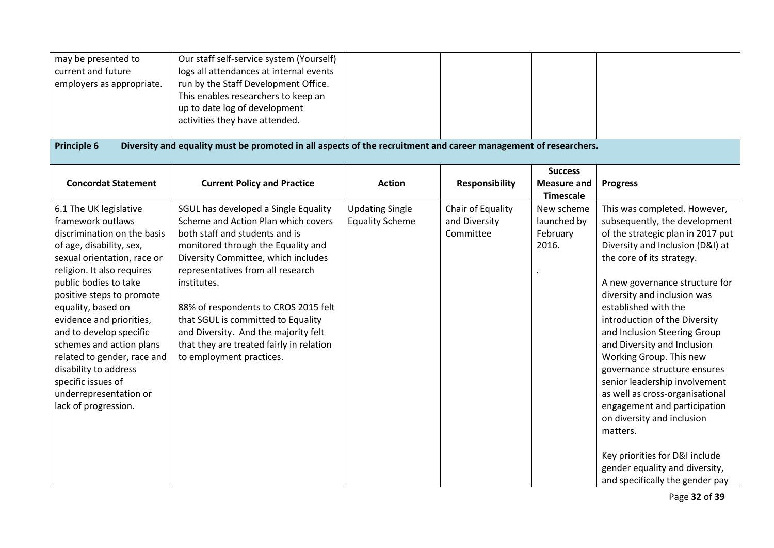| may be presented to<br>current and future<br>employers as appropriate.<br><b>Principle 6</b>                                                                                                                                                                                                                                                                                                                                                                       | Our staff self-service system (Yourself)<br>logs all attendances at internal events<br>run by the Staff Development Office.<br>This enables researchers to keep an<br>up to date log of development<br>activities they have attended.<br>Diversity and equality must be promoted in all aspects of the recruitment and career management of researchers.                                                                                     |                                                  |                                                 |                                                   |                                                                                                                                                                                                                                                                                                                                                                                                                                                                                                                                                                                                                                                                              |
|--------------------------------------------------------------------------------------------------------------------------------------------------------------------------------------------------------------------------------------------------------------------------------------------------------------------------------------------------------------------------------------------------------------------------------------------------------------------|----------------------------------------------------------------------------------------------------------------------------------------------------------------------------------------------------------------------------------------------------------------------------------------------------------------------------------------------------------------------------------------------------------------------------------------------|--------------------------------------------------|-------------------------------------------------|---------------------------------------------------|------------------------------------------------------------------------------------------------------------------------------------------------------------------------------------------------------------------------------------------------------------------------------------------------------------------------------------------------------------------------------------------------------------------------------------------------------------------------------------------------------------------------------------------------------------------------------------------------------------------------------------------------------------------------------|
|                                                                                                                                                                                                                                                                                                                                                                                                                                                                    |                                                                                                                                                                                                                                                                                                                                                                                                                                              |                                                  |                                                 |                                                   |                                                                                                                                                                                                                                                                                                                                                                                                                                                                                                                                                                                                                                                                              |
| <b>Concordat Statement</b>                                                                                                                                                                                                                                                                                                                                                                                                                                         | <b>Current Policy and Practice</b>                                                                                                                                                                                                                                                                                                                                                                                                           | <b>Action</b>                                    | <b>Responsibility</b>                           | <b>Success</b><br><b>Measure and</b><br>Timescale | <b>Progress</b>                                                                                                                                                                                                                                                                                                                                                                                                                                                                                                                                                                                                                                                              |
| 6.1 The UK legislative<br>framework outlaws<br>discrimination on the basis<br>of age, disability, sex,<br>sexual orientation, race or<br>religion. It also requires<br>public bodies to take<br>positive steps to promote<br>equality, based on<br>evidence and priorities,<br>and to develop specific<br>schemes and action plans<br>related to gender, race and<br>disability to address<br>specific issues of<br>underrepresentation or<br>lack of progression. | SGUL has developed a Single Equality<br>Scheme and Action Plan which covers<br>both staff and students and is<br>monitored through the Equality and<br>Diversity Committee, which includes<br>representatives from all research<br>institutes.<br>88% of respondents to CROS 2015 felt<br>that SGUL is committed to Equality<br>and Diversity. And the majority felt<br>that they are treated fairly in relation<br>to employment practices. | <b>Updating Single</b><br><b>Equality Scheme</b> | Chair of Equality<br>and Diversity<br>Committee | New scheme<br>launched by<br>February<br>2016.    | This was completed. However,<br>subsequently, the development<br>of the strategic plan in 2017 put<br>Diversity and Inclusion (D&I) at<br>the core of its strategy.<br>A new governance structure for<br>diversity and inclusion was<br>established with the<br>introduction of the Diversity<br>and Inclusion Steering Group<br>and Diversity and Inclusion<br>Working Group. This new<br>governance structure ensures<br>senior leadership involvement<br>as well as cross-organisational<br>engagement and participation<br>on diversity and inclusion<br>matters.<br>Key priorities for D&I include<br>gender equality and diversity,<br>and specifically the gender pay |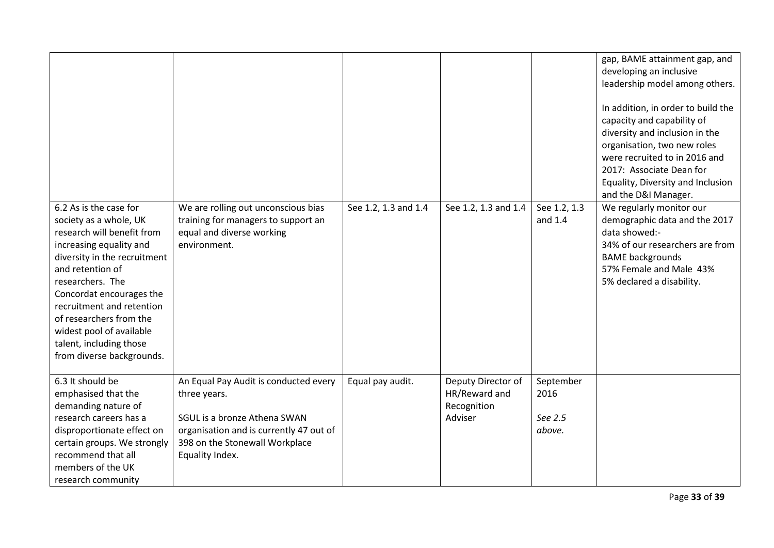| 6.2 As is the case for                                                                                                                                                                                                                                                                                                          | We are rolling out unconscious bias                                                                                                                                                   | See 1.2, 1.3 and 1.4 | See 1.2, 1.3 and 1.4                                          | See 1.2, 1.3                           | gap, BAME attainment gap, and<br>developing an inclusive<br>leadership model among others.<br>In addition, in order to build the<br>capacity and capability of<br>diversity and inclusion in the<br>organisation, two new roles<br>were recruited to in 2016 and<br>2017: Associate Dean for<br>Equality, Diversity and Inclusion<br>and the D&I Manager.<br>We regularly monitor our |
|---------------------------------------------------------------------------------------------------------------------------------------------------------------------------------------------------------------------------------------------------------------------------------------------------------------------------------|---------------------------------------------------------------------------------------------------------------------------------------------------------------------------------------|----------------------|---------------------------------------------------------------|----------------------------------------|---------------------------------------------------------------------------------------------------------------------------------------------------------------------------------------------------------------------------------------------------------------------------------------------------------------------------------------------------------------------------------------|
| society as a whole, UK<br>research will benefit from<br>increasing equality and<br>diversity in the recruitment<br>and retention of<br>researchers. The<br>Concordat encourages the<br>recruitment and retention<br>of researchers from the<br>widest pool of available<br>talent, including those<br>from diverse backgrounds. | training for managers to support an<br>equal and diverse working<br>environment.                                                                                                      |                      |                                                               | and 1.4                                | demographic data and the 2017<br>data showed:-<br>34% of our researchers are from<br><b>BAME</b> backgrounds<br>57% Female and Male 43%<br>5% declared a disability.                                                                                                                                                                                                                  |
| 6.3 It should be<br>emphasised that the<br>demanding nature of<br>research careers has a<br>disproportionate effect on<br>certain groups. We strongly<br>recommend that all<br>members of the UK<br>research community                                                                                                          | An Equal Pay Audit is conducted every<br>three years.<br>SGUL is a bronze Athena SWAN<br>organisation and is currently 47 out of<br>398 on the Stonewall Workplace<br>Equality Index. | Equal pay audit.     | Deputy Director of<br>HR/Reward and<br>Recognition<br>Adviser | September<br>2016<br>See 2.5<br>above. |                                                                                                                                                                                                                                                                                                                                                                                       |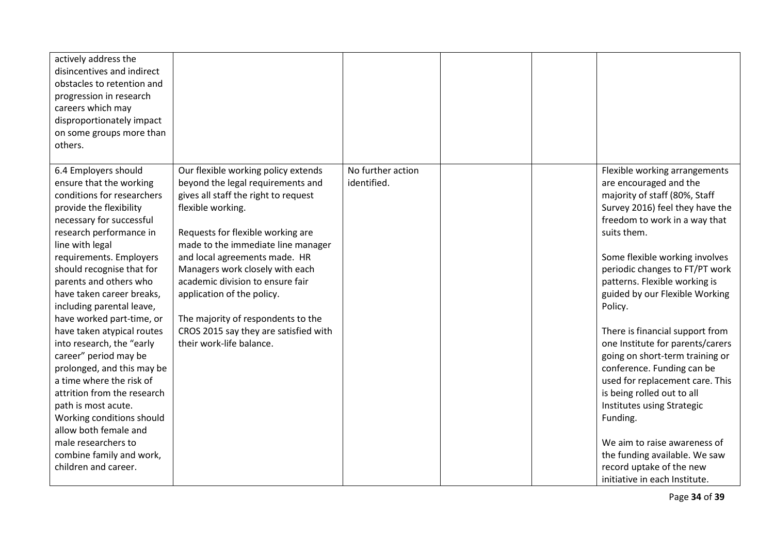| actively address the<br>disincentives and indirect<br>obstacles to retention and<br>progression in research<br>careers which may<br>disproportionately impact<br>on some groups more than<br>others.                                                                                                                                                                                                                                                                                                                                                                                                                                                                                             |                                                                                                                                                                                                                                                                                                                                                                                                                                                                   |                                  |  |                                                                                                                                                                                                                                                                                                                                                                                                                                                                                                                                                                                                                                                                                                                |
|--------------------------------------------------------------------------------------------------------------------------------------------------------------------------------------------------------------------------------------------------------------------------------------------------------------------------------------------------------------------------------------------------------------------------------------------------------------------------------------------------------------------------------------------------------------------------------------------------------------------------------------------------------------------------------------------------|-------------------------------------------------------------------------------------------------------------------------------------------------------------------------------------------------------------------------------------------------------------------------------------------------------------------------------------------------------------------------------------------------------------------------------------------------------------------|----------------------------------|--|----------------------------------------------------------------------------------------------------------------------------------------------------------------------------------------------------------------------------------------------------------------------------------------------------------------------------------------------------------------------------------------------------------------------------------------------------------------------------------------------------------------------------------------------------------------------------------------------------------------------------------------------------------------------------------------------------------------|
| 6.4 Employers should<br>ensure that the working<br>conditions for researchers<br>provide the flexibility<br>necessary for successful<br>research performance in<br>line with legal<br>requirements. Employers<br>should recognise that for<br>parents and others who<br>have taken career breaks,<br>including parental leave,<br>have worked part-time, or<br>have taken atypical routes<br>into research, the "early<br>career" period may be<br>prolonged, and this may be<br>a time where the risk of<br>attrition from the research<br>path is most acute.<br>Working conditions should<br>allow both female and<br>male researchers to<br>combine family and work,<br>children and career. | Our flexible working policy extends<br>beyond the legal requirements and<br>gives all staff the right to request<br>flexible working.<br>Requests for flexible working are<br>made to the immediate line manager<br>and local agreements made. HR<br>Managers work closely with each<br>academic division to ensure fair<br>application of the policy.<br>The majority of respondents to the<br>CROS 2015 say they are satisfied with<br>their work-life balance. | No further action<br>identified. |  | Flexible working arrangements<br>are encouraged and the<br>majority of staff (80%, Staff<br>Survey 2016) feel they have the<br>freedom to work in a way that<br>suits them.<br>Some flexible working involves<br>periodic changes to FT/PT work<br>patterns. Flexible working is<br>guided by our Flexible Working<br>Policy.<br>There is financial support from<br>one Institute for parents/carers<br>going on short-term training or<br>conference. Funding can be<br>used for replacement care. This<br>is being rolled out to all<br>Institutes using Strategic<br>Funding.<br>We aim to raise awareness of<br>the funding available. We saw<br>record uptake of the new<br>initiative in each Institute. |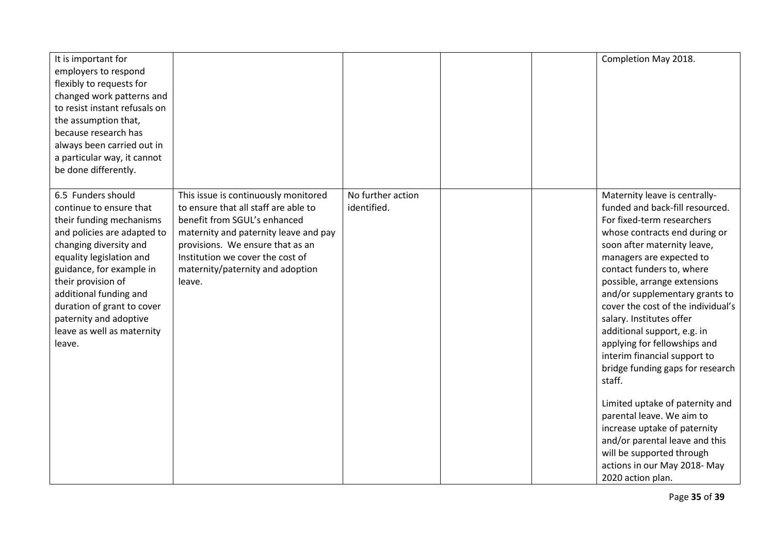| It is important for<br>employers to respond<br>flexibly to requests for<br>changed work patterns and<br>to resist instant refusals on<br>the assumption that,<br>because research has<br>always been carried out in<br>a particular way, it cannot<br>be done differently.                                                                 |                                                                                                                                                                                                                                                                             |                                  | Completion May 2018.                                                                                                                                                                                                                                                                                                                                                                                                                                                                                                                                                                                                                                                                                                        |  |
|--------------------------------------------------------------------------------------------------------------------------------------------------------------------------------------------------------------------------------------------------------------------------------------------------------------------------------------------|-----------------------------------------------------------------------------------------------------------------------------------------------------------------------------------------------------------------------------------------------------------------------------|----------------------------------|-----------------------------------------------------------------------------------------------------------------------------------------------------------------------------------------------------------------------------------------------------------------------------------------------------------------------------------------------------------------------------------------------------------------------------------------------------------------------------------------------------------------------------------------------------------------------------------------------------------------------------------------------------------------------------------------------------------------------------|--|
| 6.5 Funders should<br>continue to ensure that<br>their funding mechanisms<br>and policies are adapted to<br>changing diversity and<br>equality legislation and<br>guidance, for example in<br>their provision of<br>additional funding and<br>duration of grant to cover<br>paternity and adoptive<br>leave as well as maternity<br>leave. | This issue is continuously monitored<br>to ensure that all staff are able to<br>benefit from SGUL's enhanced<br>maternity and paternity leave and pay<br>provisions. We ensure that as an<br>Institution we cover the cost of<br>maternity/paternity and adoption<br>leave. | No further action<br>identified. | Maternity leave is centrally-<br>funded and back-fill resourced.<br>For fixed-term researchers<br>whose contracts end during or<br>soon after maternity leave,<br>managers are expected to<br>contact funders to, where<br>possible, arrange extensions<br>and/or supplementary grants to<br>cover the cost of the individual's<br>salary. Institutes offer<br>additional support, e.g. in<br>applying for fellowships and<br>interim financial support to<br>bridge funding gaps for research<br>staff.<br>Limited uptake of paternity and<br>parental leave. We aim to<br>increase uptake of paternity<br>and/or parental leave and this<br>will be supported through<br>actions in our May 2018-May<br>2020 action plan. |  |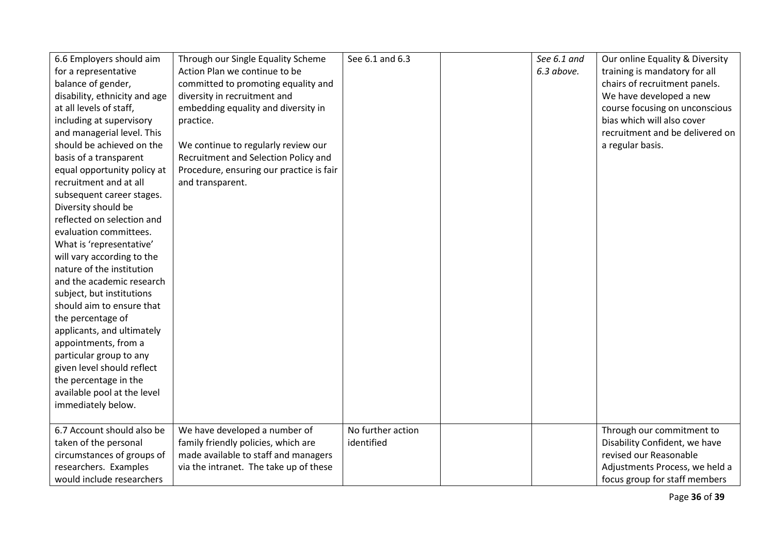| 6.6 Employers should aim      | Through our Single Equality Scheme       | See 6.1 and 6.3   | See 6.1 and | Our online Equality & Diversity |
|-------------------------------|------------------------------------------|-------------------|-------------|---------------------------------|
| for a representative          | Action Plan we continue to be            |                   | 6.3 above.  | training is mandatory for all   |
| balance of gender,            | committed to promoting equality and      |                   |             | chairs of recruitment panels.   |
| disability, ethnicity and age | diversity in recruitment and             |                   |             | We have developed a new         |
| at all levels of staff,       | embedding equality and diversity in      |                   |             | course focusing on unconscious  |
| including at supervisory      | practice.                                |                   |             | bias which will also cover      |
| and managerial level. This    |                                          |                   |             | recruitment and be delivered on |
| should be achieved on the     | We continue to regularly review our      |                   |             | a regular basis.                |
| basis of a transparent        | Recruitment and Selection Policy and     |                   |             |                                 |
| equal opportunity policy at   | Procedure, ensuring our practice is fair |                   |             |                                 |
| recruitment and at all        | and transparent.                         |                   |             |                                 |
| subsequent career stages.     |                                          |                   |             |                                 |
| Diversity should be           |                                          |                   |             |                                 |
| reflected on selection and    |                                          |                   |             |                                 |
| evaluation committees.        |                                          |                   |             |                                 |
| What is 'representative'      |                                          |                   |             |                                 |
| will vary according to the    |                                          |                   |             |                                 |
| nature of the institution     |                                          |                   |             |                                 |
| and the academic research     |                                          |                   |             |                                 |
| subject, but institutions     |                                          |                   |             |                                 |
| should aim to ensure that     |                                          |                   |             |                                 |
| the percentage of             |                                          |                   |             |                                 |
| applicants, and ultimately    |                                          |                   |             |                                 |
| appointments, from a          |                                          |                   |             |                                 |
| particular group to any       |                                          |                   |             |                                 |
| given level should reflect    |                                          |                   |             |                                 |
| the percentage in the         |                                          |                   |             |                                 |
| available pool at the level   |                                          |                   |             |                                 |
| immediately below.            |                                          |                   |             |                                 |
|                               |                                          |                   |             |                                 |
| 6.7 Account should also be    | We have developed a number of            | No further action |             | Through our commitment to       |
| taken of the personal         | family friendly policies, which are      | identified        |             | Disability Confident, we have   |
| circumstances of groups of    | made available to staff and managers     |                   |             | revised our Reasonable          |
| researchers. Examples         | via the intranet. The take up of these   |                   |             | Adjustments Process, we held a  |
| would include researchers     |                                          |                   |             | focus group for staff members   |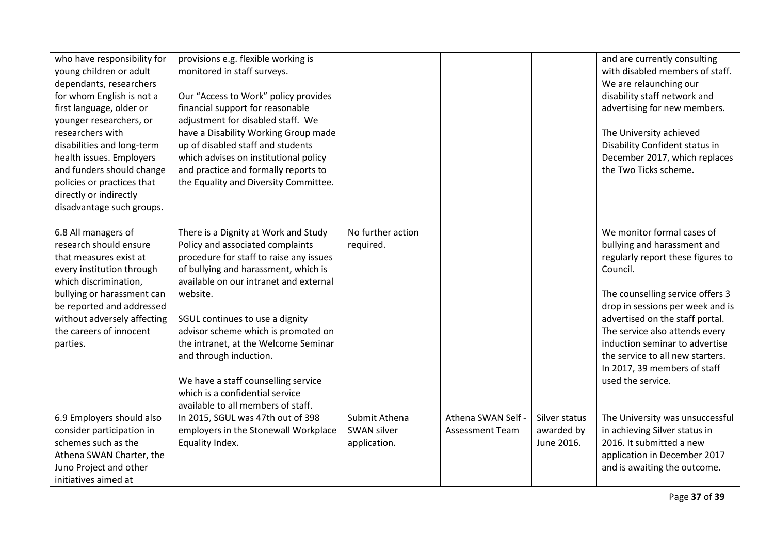| who have responsibility for<br>young children or adult<br>dependants, researchers<br>for whom English is not a<br>first language, older or<br>younger researchers, or<br>researchers with<br>disabilities and long-term<br>health issues. Employers<br>and funders should change<br>policies or practices that<br>directly or indirectly | provisions e.g. flexible working is<br>monitored in staff surveys.<br>Our "Access to Work" policy provides<br>financial support for reasonable<br>adjustment for disabled staff. We<br>have a Disability Working Group made<br>up of disabled staff and students<br>which advises on institutional policy<br>and practice and formally reports to<br>the Equality and Diversity Committee.                                                                                    |                                                     |                                              |                                           | and are currently consulting<br>with disabled members of staff.<br>We are relaunching our<br>disability staff network and<br>advertising for new members.<br>The University achieved<br>Disability Confident status in<br>December 2017, which replaces<br>the Two Ticks scheme.                                                                                                   |
|------------------------------------------------------------------------------------------------------------------------------------------------------------------------------------------------------------------------------------------------------------------------------------------------------------------------------------------|-------------------------------------------------------------------------------------------------------------------------------------------------------------------------------------------------------------------------------------------------------------------------------------------------------------------------------------------------------------------------------------------------------------------------------------------------------------------------------|-----------------------------------------------------|----------------------------------------------|-------------------------------------------|------------------------------------------------------------------------------------------------------------------------------------------------------------------------------------------------------------------------------------------------------------------------------------------------------------------------------------------------------------------------------------|
| disadvantage such groups.                                                                                                                                                                                                                                                                                                                |                                                                                                                                                                                                                                                                                                                                                                                                                                                                               |                                                     |                                              |                                           |                                                                                                                                                                                                                                                                                                                                                                                    |
| 6.8 All managers of<br>research should ensure<br>that measures exist at<br>every institution through<br>which discrimination,<br>bullying or harassment can<br>be reported and addressed<br>without adversely affecting<br>the careers of innocent<br>parties.                                                                           | There is a Dignity at Work and Study<br>Policy and associated complaints<br>procedure for staff to raise any issues<br>of bullying and harassment, which is<br>available on our intranet and external<br>website.<br>SGUL continues to use a dignity<br>advisor scheme which is promoted on<br>the intranet, at the Welcome Seminar<br>and through induction.<br>We have a staff counselling service<br>which is a confidential service<br>available to all members of staff. | No further action<br>required.                      |                                              |                                           | We monitor formal cases of<br>bullying and harassment and<br>regularly report these figures to<br>Council.<br>The counselling service offers 3<br>drop in sessions per week and is<br>advertised on the staff portal.<br>The service also attends every<br>induction seminar to advertise<br>the service to all new starters.<br>In 2017, 39 members of staff<br>used the service. |
| 6.9 Employers should also<br>consider participation in<br>schemes such as the<br>Athena SWAN Charter, the<br>Juno Project and other<br>initiatives aimed at                                                                                                                                                                              | In 2015, SGUL was 47th out of 398<br>employers in the Stonewall Workplace<br>Equality Index.                                                                                                                                                                                                                                                                                                                                                                                  | Submit Athena<br><b>SWAN silver</b><br>application. | Athena SWAN Self -<br><b>Assessment Team</b> | Silver status<br>awarded by<br>June 2016. | The University was unsuccessful<br>in achieving Silver status in<br>2016. It submitted a new<br>application in December 2017<br>and is awaiting the outcome.                                                                                                                                                                                                                       |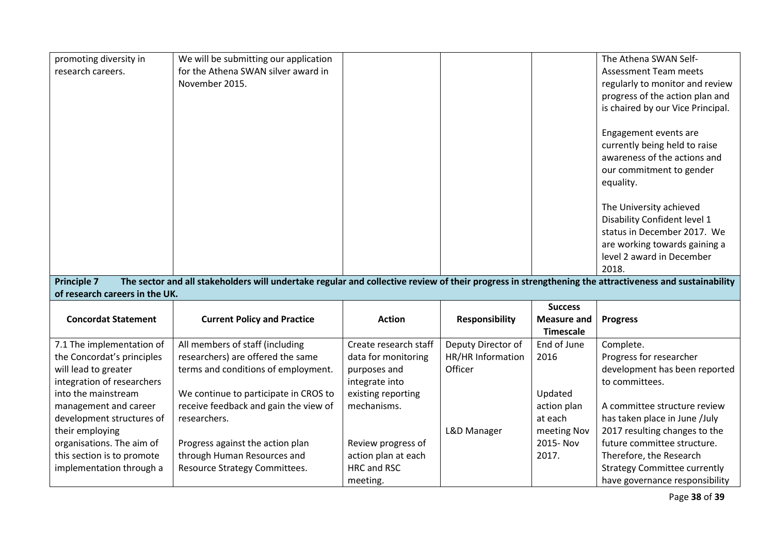| promoting diversity in                                                                                                                                                      | We will be submitting our application |                       |                       |                    | The Athena SWAN Self-               |  |  |  |  |
|-----------------------------------------------------------------------------------------------------------------------------------------------------------------------------|---------------------------------------|-----------------------|-----------------------|--------------------|-------------------------------------|--|--|--|--|
| research careers.                                                                                                                                                           | for the Athena SWAN silver award in   |                       |                       |                    | <b>Assessment Team meets</b>        |  |  |  |  |
|                                                                                                                                                                             | November 2015.                        |                       |                       |                    | regularly to monitor and review     |  |  |  |  |
|                                                                                                                                                                             |                                       |                       |                       |                    | progress of the action plan and     |  |  |  |  |
|                                                                                                                                                                             |                                       |                       |                       |                    | is chaired by our Vice Principal.   |  |  |  |  |
|                                                                                                                                                                             |                                       |                       |                       |                    |                                     |  |  |  |  |
|                                                                                                                                                                             |                                       |                       |                       |                    | Engagement events are               |  |  |  |  |
|                                                                                                                                                                             |                                       |                       |                       |                    | currently being held to raise       |  |  |  |  |
|                                                                                                                                                                             |                                       |                       |                       |                    | awareness of the actions and        |  |  |  |  |
|                                                                                                                                                                             |                                       |                       |                       |                    | our commitment to gender            |  |  |  |  |
|                                                                                                                                                                             |                                       |                       |                       |                    | equality.                           |  |  |  |  |
|                                                                                                                                                                             |                                       |                       |                       |                    |                                     |  |  |  |  |
|                                                                                                                                                                             |                                       |                       |                       |                    | The University achieved             |  |  |  |  |
|                                                                                                                                                                             |                                       |                       |                       |                    | Disability Confident level 1        |  |  |  |  |
|                                                                                                                                                                             |                                       |                       |                       |                    | status in December 2017. We         |  |  |  |  |
|                                                                                                                                                                             |                                       |                       |                       |                    | are working towards gaining a       |  |  |  |  |
|                                                                                                                                                                             |                                       |                       |                       |                    | level 2 award in December           |  |  |  |  |
|                                                                                                                                                                             |                                       |                       |                       |                    | 2018.                               |  |  |  |  |
| <b>Principle 7</b><br>The sector and all stakeholders will undertake regular and collective review of their progress in strengthening the attractiveness and sustainability |                                       |                       |                       |                    |                                     |  |  |  |  |
| of research careers in the UK.                                                                                                                                              |                                       |                       |                       |                    |                                     |  |  |  |  |
|                                                                                                                                                                             |                                       |                       |                       |                    |                                     |  |  |  |  |
|                                                                                                                                                                             |                                       |                       |                       | <b>Success</b>     |                                     |  |  |  |  |
| <b>Concordat Statement</b>                                                                                                                                                  | <b>Current Policy and Practice</b>    | <b>Action</b>         | <b>Responsibility</b> | <b>Measure and</b> | <b>Progress</b>                     |  |  |  |  |
|                                                                                                                                                                             |                                       |                       |                       | <b>Timescale</b>   |                                     |  |  |  |  |
| 7.1 The implementation of                                                                                                                                                   | All members of staff (including       | Create research staff | Deputy Director of    | End of June        | Complete.                           |  |  |  |  |
| the Concordat's principles                                                                                                                                                  | researchers) are offered the same     | data for monitoring   | HR/HR Information     | 2016               | Progress for researcher             |  |  |  |  |
| will lead to greater                                                                                                                                                        | terms and conditions of employment.   | purposes and          | Officer               |                    | development has been reported       |  |  |  |  |
| integration of researchers                                                                                                                                                  |                                       | integrate into        |                       |                    | to committees.                      |  |  |  |  |
| into the mainstream                                                                                                                                                         | We continue to participate in CROS to | existing reporting    |                       | Updated            |                                     |  |  |  |  |
| management and career                                                                                                                                                       | receive feedback and gain the view of | mechanisms.           |                       | action plan        | A committee structure review        |  |  |  |  |
| development structures of                                                                                                                                                   | researchers.                          |                       |                       | at each            | has taken place in June /July       |  |  |  |  |
| their employing                                                                                                                                                             |                                       |                       | L&D Manager           | meeting Nov        | 2017 resulting changes to the       |  |  |  |  |
| organisations. The aim of                                                                                                                                                   | Progress against the action plan      | Review progress of    |                       | 2015-Nov           | future committee structure.         |  |  |  |  |
| this section is to promote                                                                                                                                                  | through Human Resources and           | action plan at each   |                       | 2017.              | Therefore, the Research             |  |  |  |  |
| implementation through a                                                                                                                                                    | Resource Strategy Committees.         | HRC and RSC           |                       |                    | <b>Strategy Committee currently</b> |  |  |  |  |

Page **38** of **39**